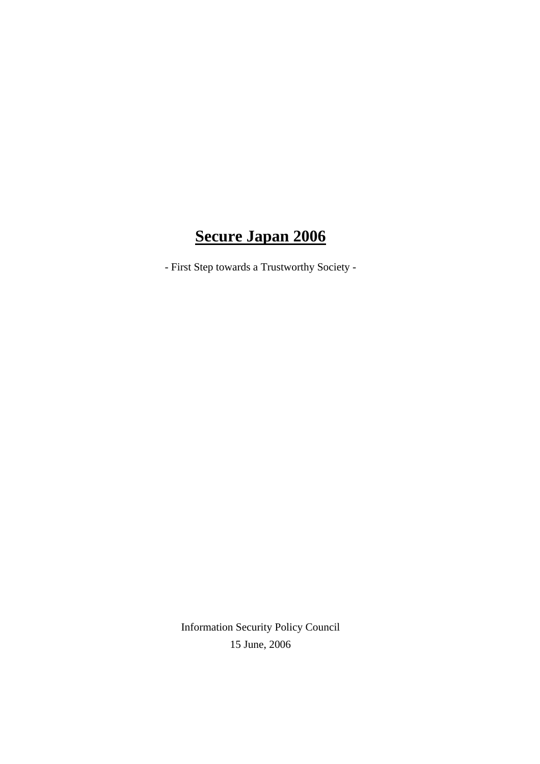# **Secure Japan 2006**

- First Step towards a Trustworthy Society -

Information Security Policy Council 15 June, 2006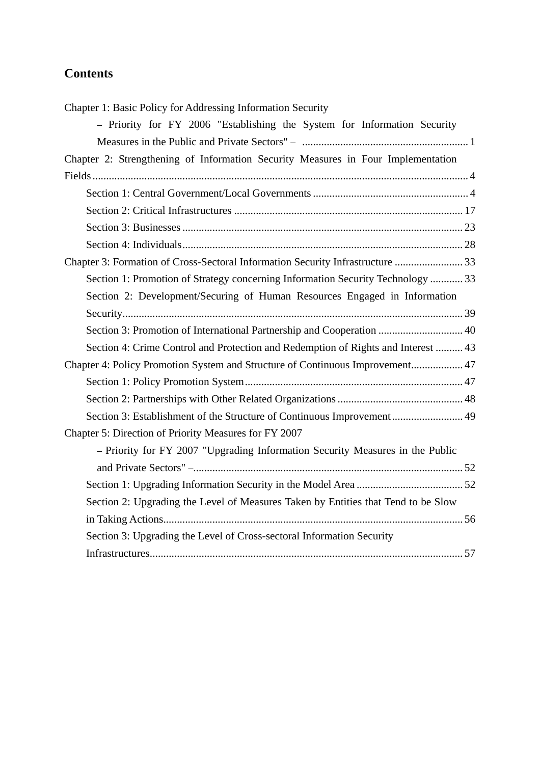# **Contents**

| Chapter 1: Basic Policy for Addressing Information Security                       |
|-----------------------------------------------------------------------------------|
| - Priority for FY 2006 "Establishing the System for Information Security          |
|                                                                                   |
| Chapter 2: Strengthening of Information Security Measures in Four Implementation  |
|                                                                                   |
|                                                                                   |
|                                                                                   |
|                                                                                   |
|                                                                                   |
| Chapter 3: Formation of Cross-Sectoral Information Security Infrastructure  33    |
| Section 1: Promotion of Strategy concerning Information Security Technology  33   |
| Section 2: Development/Securing of Human Resources Engaged in Information         |
|                                                                                   |
| Section 3: Promotion of International Partnership and Cooperation  40             |
| Section 4: Crime Control and Protection and Redemption of Rights and Interest  43 |
| Chapter 4: Policy Promotion System and Structure of Continuous Improvement 47     |
|                                                                                   |
|                                                                                   |
| Section 3: Establishment of the Structure of Continuous Improvement 49            |
| Chapter 5: Direction of Priority Measures for FY 2007                             |
| - Priority for FY 2007 "Upgrading Information Security Measures in the Public     |
|                                                                                   |
|                                                                                   |
| Section 2: Upgrading the Level of Measures Taken by Entities that Tend to be Slow |
|                                                                                   |
| Section 3: Upgrading the Level of Cross-sectoral Information Security             |
|                                                                                   |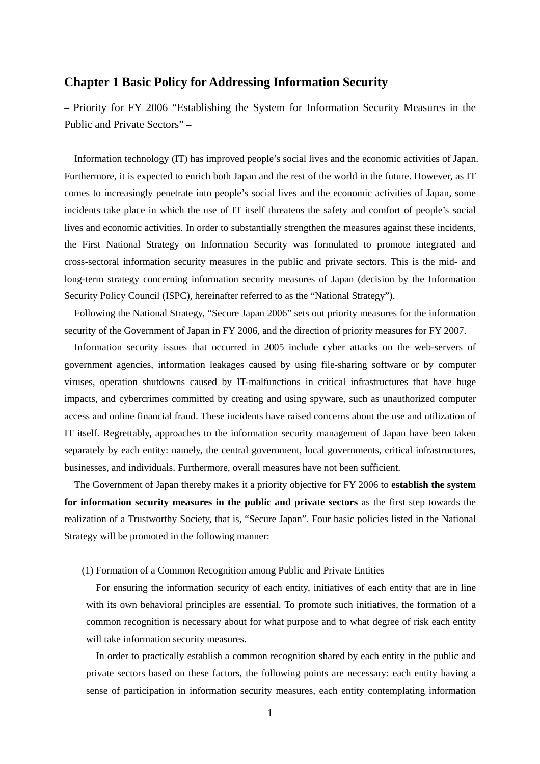# **Chapter 1 Basic Policy for Addressing Information Security**

– Priority for FY 2006 "Establishing the System for Information Security Measures in the Public and Private Sectors" –

Information technology (IT) has improved people's social lives and the economic activities of Japan. Furthermore, it is expected to enrich both Japan and the rest of the world in the future. However, as IT comes to increasingly penetrate into people's social lives and the economic activities of Japan, some incidents take place in which the use of IT itself threatens the safety and comfort of people's social lives and economic activities. In order to substantially strengthen the measures against these incidents, the First National Strategy on Information Security was formulated to promote integrated and cross-sectoral information security measures in the public and private sectors. This is the mid- and long-term strategy concerning information security measures of Japan (decision by the Information Security Policy Council (ISPC), hereinafter referred to as the "National Strategy").

Following the National Strategy, "Secure Japan 2006" sets out priority measures for the information security of the Government of Japan in FY 2006, and the direction of priority measures for FY 2007.

Information security issues that occurred in 2005 include cyber attacks on the web-servers of government agencies, information leakages caused by using file-sharing software or by computer viruses, operation shutdowns caused by IT-malfunctions in critical infrastructures that have huge impacts, and cybercrimes committed by creating and using spyware, such as unauthorized computer access and online financial fraud. These incidents have raised concerns about the use and utilization of IT itself. Regrettably, approaches to the information security management of Japan have been taken separately by each entity: namely, the central government, local governments, critical infrastructures, businesses, and individuals. Furthermore, overall measures have not been sufficient.

The Government of Japan thereby makes it a priority objective for FY 2006 to **establish the system for information security measures in the public and private sectors** as the first step towards the realization of a Trustworthy Society, that is, "Secure Japan". Four basic policies listed in the National Strategy will be promoted in the following manner:

### (1) Formation of a Common Recognition among Public and Private Entities

For ensuring the information security of each entity, initiatives of each entity that are in line with its own behavioral principles are essential. To promote such initiatives, the formation of a common recognition is necessary about for what purpose and to what degree of risk each entity will take information security measures.

In order to practically establish a common recognition shared by each entity in the public and private sectors based on these factors, the following points are necessary: each entity having a sense of participation in information security measures, each entity contemplating information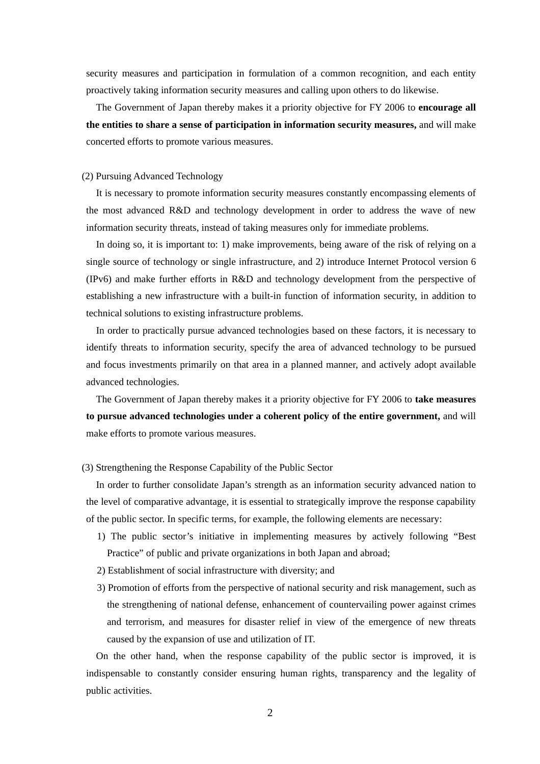security measures and participation in formulation of a common recognition, and each entity proactively taking information security measures and calling upon others to do likewise.

The Government of Japan thereby makes it a priority objective for FY 2006 to **encourage all the entities to share a sense of participation in information security measures,** and will make concerted efforts to promote various measures.

#### (2) Pursuing Advanced Technology

It is necessary to promote information security measures constantly encompassing elements of the most advanced R&D and technology development in order to address the wave of new information security threats, instead of taking measures only for immediate problems.

In doing so, it is important to: 1) make improvements, being aware of the risk of relying on a single source of technology or single infrastructure, and 2) introduce Internet Protocol version 6 (IPv6) and make further efforts in R&D and technology development from the perspective of establishing a new infrastructure with a built-in function of information security, in addition to technical solutions to existing infrastructure problems.

In order to practically pursue advanced technologies based on these factors, it is necessary to identify threats to information security, specify the area of advanced technology to be pursued and focus investments primarily on that area in a planned manner, and actively adopt available advanced technologies.

The Government of Japan thereby makes it a priority objective for FY 2006 to **take measures to pursue advanced technologies under a coherent policy of the entire government,** and will make efforts to promote various measures.

(3) Strengthening the Response Capability of the Public Sector

In order to further consolidate Japan's strength as an information security advanced nation to the level of comparative advantage, it is essential to strategically improve the response capability of the public sector. In specific terms, for example, the following elements are necessary:

- 1) The public sector's initiative in implementing measures by actively following "Best Practice" of public and private organizations in both Japan and abroad;
- 2) Establishment of social infrastructure with diversity; and
- 3) Promotion of efforts from the perspective of national security and risk management, such as the strengthening of national defense, enhancement of countervailing power against crimes and terrorism, and measures for disaster relief in view of the emergence of new threats caused by the expansion of use and utilization of IT.

On the other hand, when the response capability of the public sector is improved, it is indispensable to constantly consider ensuring human rights, transparency and the legality of public activities.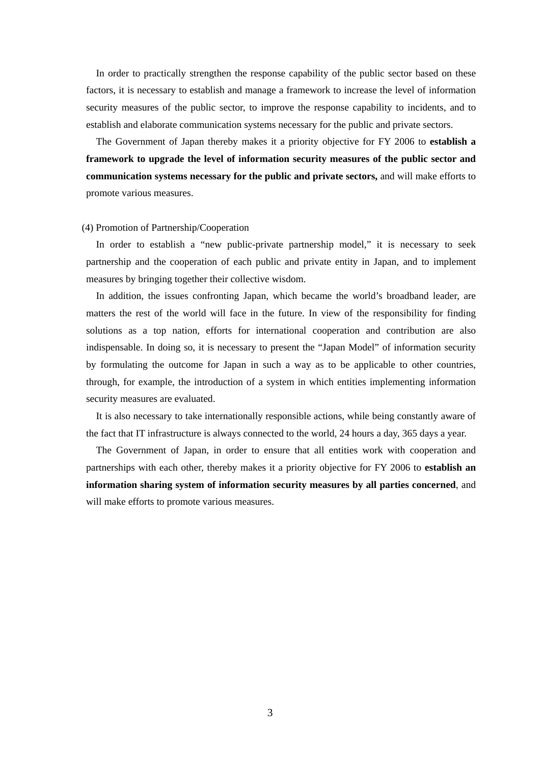In order to practically strengthen the response capability of the public sector based on these factors, it is necessary to establish and manage a framework to increase the level of information security measures of the public sector, to improve the response capability to incidents, and to establish and elaborate communication systems necessary for the public and private sectors.

The Government of Japan thereby makes it a priority objective for FY 2006 to **establish a framework to upgrade the level of information security measures of the public sector and communication systems necessary for the public and private sectors,** and will make efforts to promote various measures.

#### (4) Promotion of Partnership/Cooperation

In order to establish a "new public-private partnership model," it is necessary to seek partnership and the cooperation of each public and private entity in Japan, and to implement measures by bringing together their collective wisdom.

In addition, the issues confronting Japan, which became the world's broadband leader, are matters the rest of the world will face in the future. In view of the responsibility for finding solutions as a top nation, efforts for international cooperation and contribution are also indispensable. In doing so, it is necessary to present the "Japan Model" of information security by formulating the outcome for Japan in such a way as to be applicable to other countries, through, for example, the introduction of a system in which entities implementing information security measures are evaluated.

It is also necessary to take internationally responsible actions, while being constantly aware of the fact that IT infrastructure is always connected to the world, 24 hours a day, 365 days a year.

The Government of Japan, in order to ensure that all entities work with cooperation and partnerships with each other, thereby makes it a priority objective for FY 2006 to **establish an information sharing system of information security measures by all parties concerned**, and will make efforts to promote various measures.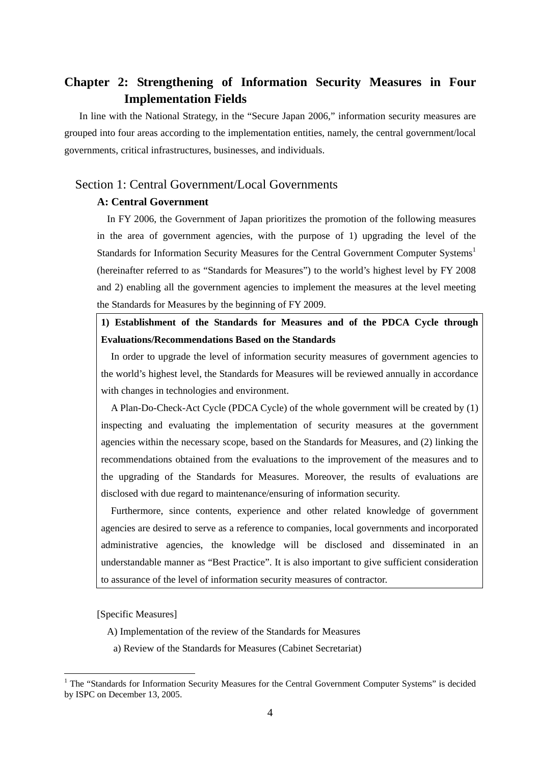# <span id="page-5-0"></span>**Chapter 2: Strengthening of Information Security Measures in Four Implementation Fields**

In line with the National Strategy, in the "Secure Japan 2006," information security measures are grouped into four areas according to the implementation entities, namely, the central government/local governments, critical infrastructures, businesses, and individuals.

# Section 1: Central Government/Local Governments

# **A: Central Government**

In FY 2006, the Government of Japan prioritizes the promotion of the following measures in the area of government agencies, with the purpose of 1) upgrading the level of the Standards for Information Security Measures for the Central Government Computer Systems<sup>[1](#page-5-1)</sup> (hereinafter referred to as "Standards for Measures") to the world's highest level by FY 2008 and 2) enabling all the government agencies to implement the measures at the level meeting the Standards for Measures by the beginning of FY 2009.

# **1) Establishment of the Standards for Measures and of the PDCA Cycle through Evaluations/Recommendations Based on the Standards**

In order to upgrade the level of information security measures of government agencies to the world's highest level, the Standards for Measures will be reviewed annually in accordance with changes in technologies and environment.

A Plan-Do-Check-Act Cycle (PDCA Cycle) of the whole government will be created by (1) inspecting and evaluating the implementation of security measures at the government agencies within the necessary scope, based on the Standards for Measures, and (2) linking the recommendations obtained from the evaluations to the improvement of the measures and to the upgrading of the Standards for Measures. Moreover, the results of evaluations are disclosed with due regard to maintenance/ensuring of information security.

Furthermore, since contents, experience and other related knowledge of government agencies are desired to serve as a reference to companies, local governments and incorporated administrative agencies, the knowledge will be disclosed and disseminated in an understandable manner as "Best Practice". It is also important to give sufficient consideration to assurance of the level of information security measures of contractor.

[Specific Measures]

- A) Implementation of the review of the Standards for Measures
	- a) Review of the Standards for Measures (Cabinet Secretariat)

<span id="page-5-1"></span> $\frac{1}{1}$  $<sup>1</sup>$  The "Standards for Information Security Measures for the Central Government Computer Systems" is decided</sup> by ISPC on December 13, 2005.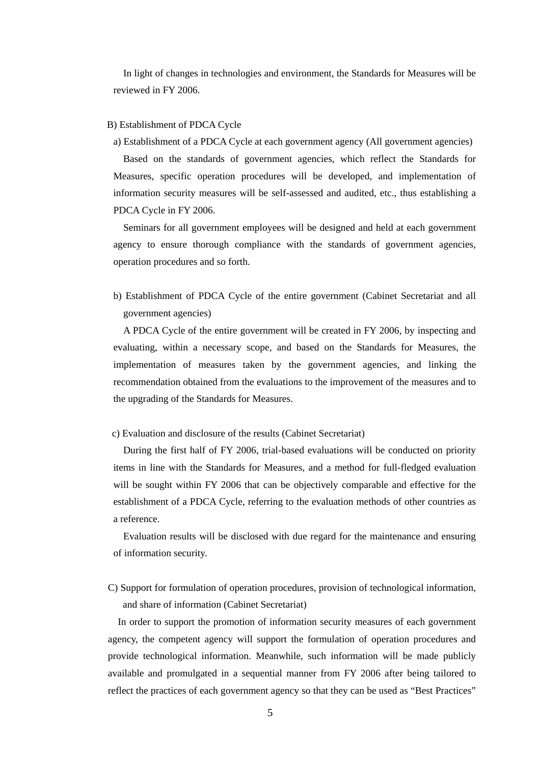In light of changes in technologies and environment, the Standards for Measures will be reviewed in FY 2006.

### B) Establishment of PDCA Cycle

a) Establishment of a PDCA Cycle at each government agency (All government agencies)

Based on the standards of government agencies, which reflect the Standards for Measures, specific operation procedures will be developed, and implementation of information security measures will be self-assessed and audited, etc., thus establishing a PDCA Cycle in FY 2006.

Seminars for all government employees will be designed and held at each government agency to ensure thorough compliance with the standards of government agencies, operation procedures and so forth.

b) Establishment of PDCA Cycle of the entire government (Cabinet Secretariat and all government agencies)

A PDCA Cycle of the entire government will be created in FY 2006, by inspecting and evaluating, within a necessary scope, and based on the Standards for Measures, the implementation of measures taken by the government agencies, and linking the recommendation obtained from the evaluations to the improvement of the measures and to the upgrading of the Standards for Measures.

### c) Evaluation and disclosure of the results (Cabinet Secretariat)

During the first half of FY 2006, trial-based evaluations will be conducted on priority items in line with the Standards for Measures, and a method for full-fledged evaluation will be sought within FY 2006 that can be objectively comparable and effective for the establishment of a PDCA Cycle, referring to the evaluation methods of other countries as a reference.

Evaluation results will be disclosed with due regard for the maintenance and ensuring of information security.

C) Support for formulation of operation procedures, provision of technological information, and share of information (Cabinet Secretariat)

In order to support the promotion of information security measures of each government agency, the competent agency will support the formulation of operation procedures and provide technological information. Meanwhile, such information will be made publicly available and promulgated in a sequential manner from FY 2006 after being tailored to reflect the practices of each government agency so that they can be used as "Best Practices"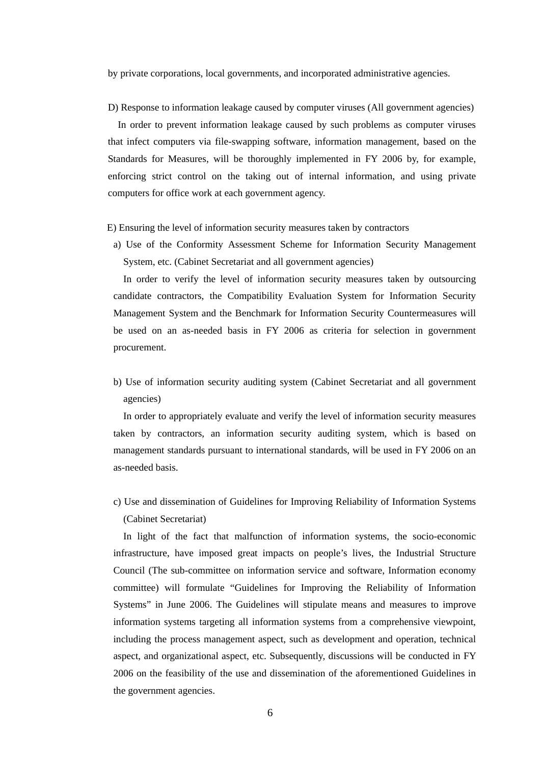by private corporations, local governments, and incorporated administrative agencies.

D) Response to information leakage caused by computer viruses (All government agencies) In order to prevent information leakage caused by such problems as computer viruses that infect computers via file-swapping software, information management, based on the Standards for Measures, will be thoroughly implemented in FY 2006 by, for example, enforcing strict control on the taking out of internal information, and using private computers for office work at each government agency.

E) Ensuring the level of information security measures taken by contractors

a) Use of the Conformity Assessment Scheme for Information Security Management System, etc. (Cabinet Secretariat and all government agencies)

In order to verify the level of information security measures taken by outsourcing candidate contractors, the Compatibility Evaluation System for Information Security Management System and the Benchmark for Information Security Countermeasures will be used on an as-needed basis in FY 2006 as criteria for selection in government procurement.

b) Use of information security auditing system (Cabinet Secretariat and all government agencies)

In order to appropriately evaluate and verify the level of information security measures taken by contractors, an information security auditing system, which is based on management standards pursuant to international standards, will be used in FY 2006 on an as-needed basis.

c) Use and dissemination of Guidelines for Improving Reliability of Information Systems (Cabinet Secretariat)

In light of the fact that malfunction of information systems, the socio-economic infrastructure, have imposed great impacts on people's lives, the Industrial Structure Council (The sub-committee on information service and software, Information economy committee) will formulate "Guidelines for Improving the Reliability of Information Systems" in June 2006. The Guidelines will stipulate means and measures to improve information systems targeting all information systems from a comprehensive viewpoint, including the process management aspect, such as development and operation, technical aspect, and organizational aspect, etc. Subsequently, discussions will be conducted in FY 2006 on the feasibility of the use and dissemination of the aforementioned Guidelines in the government agencies.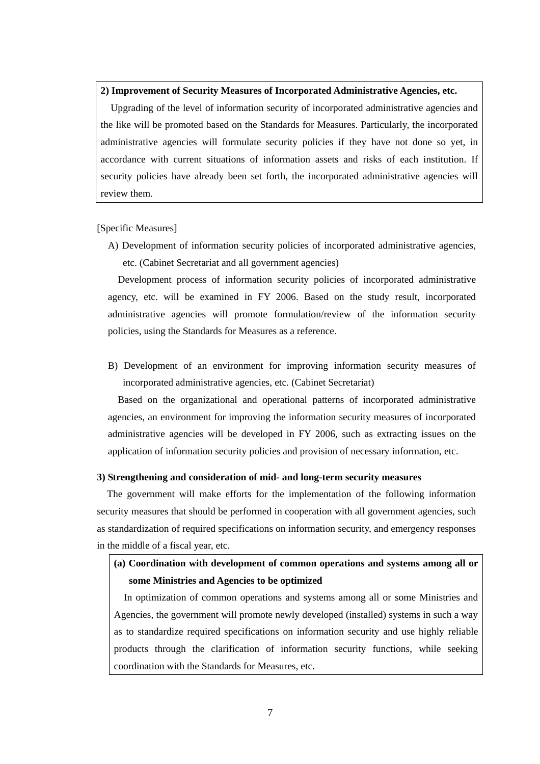### **2) Improvement of Security Measures of Incorporated Administrative Agencies, etc.**

Upgrading of the level of information security of incorporated administrative agencies and the like will be promoted based on the Standards for Measures. Particularly, the incorporated administrative agencies will formulate security policies if they have not done so yet, in accordance with current situations of information assets and risks of each institution. If security policies have already been set forth, the incorporated administrative agencies will review them.

[Specific Measures]

A) Development of information security policies of incorporated administrative agencies, etc. (Cabinet Secretariat and all government agencies)

Development process of information security policies of incorporated administrative agency, etc. will be examined in FY 2006. Based on the study result, incorporated administrative agencies will promote formulation/review of the information security policies, using the Standards for Measures as a reference.

B) Development of an environment for improving information security measures of incorporated administrative agencies, etc. (Cabinet Secretariat)

Based on the organizational and operational patterns of incorporated administrative agencies, an environment for improving the information security measures of incorporated administrative agencies will be developed in FY 2006, such as extracting issues on the application of information security policies and provision of necessary information, etc.

### **3) Strengthening and consideration of mid- and long-term security measures**

The government will make efforts for the implementation of the following information security measures that should be performed in cooperation with all government agencies, such as standardization of required specifications on information security, and emergency responses in the middle of a fiscal year, etc.

# **(a) Coordination with development of common operations and systems among all or some Ministries and Agencies to be optimized**

In optimization of common operations and systems among all or some Ministries and Agencies, the government will promote newly developed (installed) systems in such a way as to standardize required specifications on information security and use highly reliable products through the clarification of information security functions, while seeking coordination with the Standards for Measures, etc.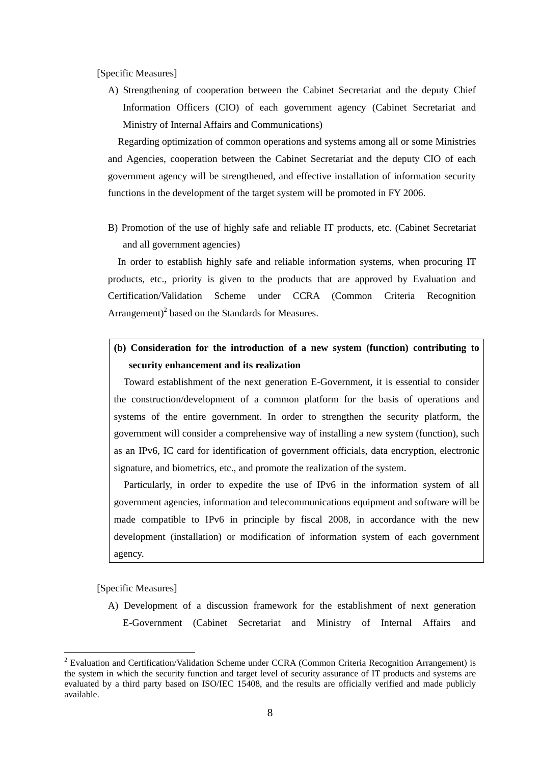[Specific Measures]

A) Strengthening of cooperation between the Cabinet Secretariat and the deputy Chief Information Officers (CIO) of each government agency (Cabinet Secretariat and Ministry of Internal Affairs and Communications)

Regarding optimization of common operations and systems among all or some Ministries and Agencies, cooperation between the Cabinet Secretariat and the deputy CIO of each government agency will be strengthened, and effective installation of information security functions in the development of the target system will be promoted in FY 2006.

B) Promotion of the use of highly safe and reliable IT products, etc. (Cabinet Secretariat and all government agencies)

In order to establish highly safe and reliable information systems, when procuring IT products, etc., priority is given to the products that are approved by Evaluation and Certification/Validation Scheme under CCRA (Common Criteria Recognition Arrangement) $^2$  $^2$  based on the Standards for Measures.

**(b) Consideration for the introduction of a new system (function) contributing to security enhancement and its realization** 

Toward establishment of the next generation E-Government, it is essential to consider the construction/development of a common platform for the basis of operations and systems of the entire government. In order to strengthen the security platform, the government will consider a comprehensive way of installing a new system (function), such as an IPv6, IC card for identification of government officials, data encryption, electronic signature, and biometrics, etc., and promote the realization of the system.

Particularly, in order to expedite the use of IPv6 in the information system of all government agencies, information and telecommunications equipment and software will be made compatible to IPv6 in principle by fiscal 2008, in accordance with the new development (installation) or modification of information system of each government agency.

[Specific Measures]

A) Development of a discussion framework for the establishment of next generation E-Government (Cabinet Secretariat and Ministry of Internal Affairs and

<span id="page-9-0"></span> $\frac{1}{2}$ <sup>2</sup> Evaluation and Certification/Validation Scheme under CCRA (Common Criteria Recognition Arrangement) is the system in which the security function and target level of security assurance of IT products and systems are evaluated by a third party based on ISO/IEC 15408, and the results are officially verified and made publicly available.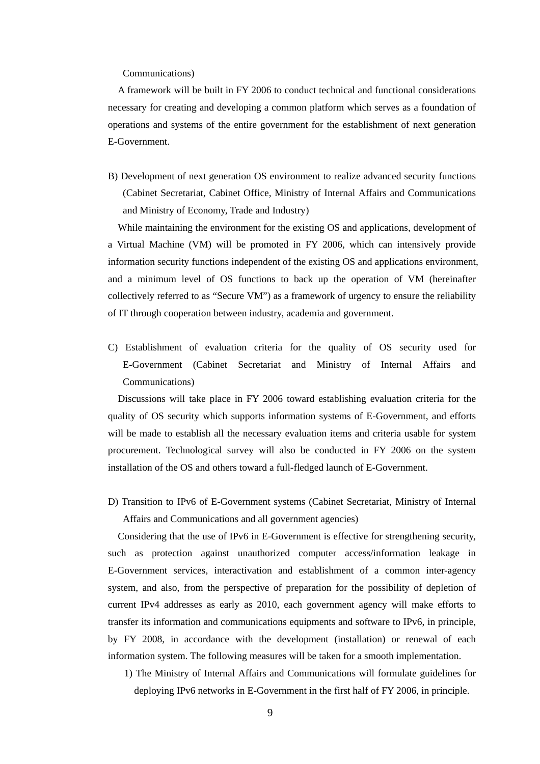#### Communications)

A framework will be built in FY 2006 to conduct technical and functional considerations necessary for creating and developing a common platform which serves as a foundation of operations and systems of the entire government for the establishment of next generation E-Government.

B) Development of next generation OS environment to realize advanced security functions (Cabinet Secretariat, Cabinet Office, Ministry of Internal Affairs and Communications and Ministry of Economy, Trade and Industry)

While maintaining the environment for the existing OS and applications, development of a Virtual Machine (VM) will be promoted in FY 2006, which can intensively provide information security functions independent of the existing OS and applications environment, and a minimum level of OS functions to back up the operation of VM (hereinafter collectively referred to as "Secure VM") as a framework of urgency to ensure the reliability of IT through cooperation between industry, academia and government.

C) Establishment of evaluation criteria for the quality of OS security used for E-Government (Cabinet Secretariat and Ministry of Internal Affairs and Communications)

Discussions will take place in FY 2006 toward establishing evaluation criteria for the quality of OS security which supports information systems of E-Government, and efforts will be made to establish all the necessary evaluation items and criteria usable for system procurement. Technological survey will also be conducted in FY 2006 on the system installation of the OS and others toward a full-fledged launch of E-Government.

D) Transition to IPv6 of E-Government systems (Cabinet Secretariat, Ministry of Internal Affairs and Communications and all government agencies)

Considering that the use of IPv6 in E-Government is effective for strengthening security, such as protection against unauthorized computer access/information leakage in E-Government services, interactivation and establishment of a common inter-agency system, and also, from the perspective of preparation for the possibility of depletion of current IPv4 addresses as early as 2010, each government agency will make efforts to transfer its information and communications equipments and software to IPv6, in principle, by FY 2008, in accordance with the development (installation) or renewal of each information system. The following measures will be taken for a smooth implementation.

1) The Ministry of Internal Affairs and Communications will formulate guidelines for deploying IPv6 networks in E-Government in the first half of FY 2006, in principle.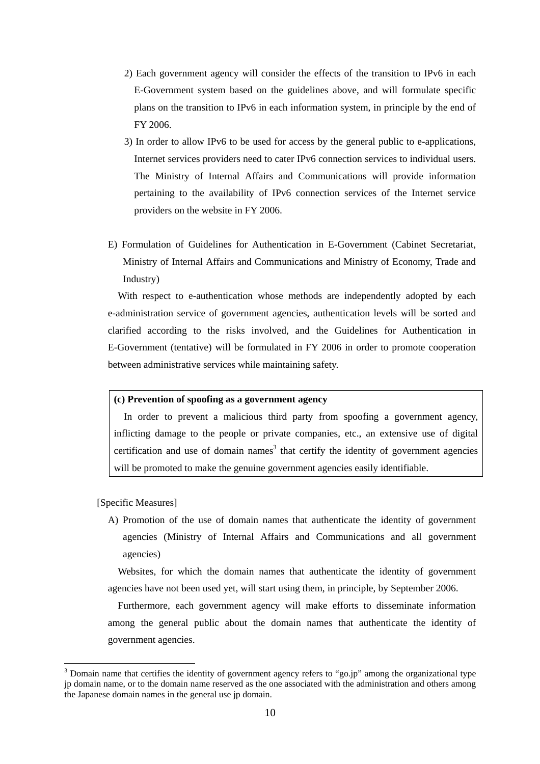- 2) Each government agency will consider the effects of the transition to IPv6 in each E-Government system based on the guidelines above, and will formulate specific plans on the transition to IPv6 in each information system, in principle by the end of FY 2006.
- 3) In order to allow IPv6 to be used for access by the general public to e-applications, Internet services providers need to cater IPv6 connection services to individual users. The Ministry of Internal Affairs and Communications will provide information pertaining to the availability of IPv6 connection services of the Internet service providers on the website in FY 2006.
- E) Formulation of Guidelines for Authentication in E-Government (Cabinet Secretariat, Ministry of Internal Affairs and Communications and Ministry of Economy, Trade and Industry)

With respect to e-authentication whose methods are independently adopted by each e-administration service of government agencies, authentication levels will be sorted and clarified according to the risks involved, and the Guidelines for Authentication in E-Government (tentative) will be formulated in FY 2006 in order to promote cooperation between administrative services while maintaining safety.

### **(c) Prevention of spoofing as a government agency**

In order to prevent a malicious third party from spoofing a government agency, inflicting damage to the people or private companies, etc., an extensive use of digital certification and use of domain names<sup>[3](#page-11-0)</sup> that certify the identity of government agencies will be promoted to make the genuine government agencies easily identifiable.

### [Specific Measures]

A) Promotion of the use of domain names that authenticate the identity of government agencies (Ministry of Internal Affairs and Communications and all government agencies)

Websites, for which the domain names that authenticate the identity of government agencies have not been used yet, will start using them, in principle, by September 2006.

Furthermore, each government agency will make efforts to disseminate information among the general public about the domain names that authenticate the identity of government agencies.

<span id="page-11-0"></span>3 <sup>3</sup> Domain name that certifies the identity of government agency refers to "go.jp" among the organizational type jp domain name, or to the domain name reserved as the one associated with the administration and others among the Japanese domain names in the general use jp domain.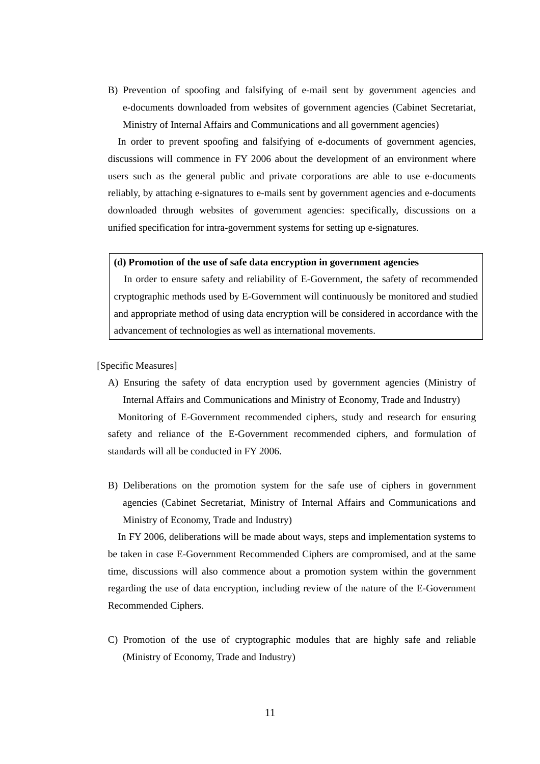B) Prevention of spoofing and falsifying of e-mail sent by government agencies and e-documents downloaded from websites of government agencies (Cabinet Secretariat, Ministry of Internal Affairs and Communications and all government agencies)

In order to prevent spoofing and falsifying of e-documents of government agencies, discussions will commence in FY 2006 about the development of an environment where users such as the general public and private corporations are able to use e-documents reliably, by attaching e-signatures to e-mails sent by government agencies and e-documents downloaded through websites of government agencies: specifically, discussions on a unified specification for intra-government systems for setting up e-signatures.

### **(d) Promotion of the use of safe data encryption in government agencies**

In order to ensure safety and reliability of E-Government, the safety of recommended cryptographic methods used by E-Government will continuously be monitored and studied and appropriate method of using data encryption will be considered in accordance with the advancement of technologies as well as international movements.

[Specific Measures]

A) Ensuring the safety of data encryption used by government agencies (Ministry of Internal Affairs and Communications and Ministry of Economy, Trade and Industry)

Monitoring of E-Government recommended ciphers, study and research for ensuring safety and reliance of the E-Government recommended ciphers, and formulation of standards will all be conducted in FY 2006.

B) Deliberations on the promotion system for the safe use of ciphers in government agencies (Cabinet Secretariat, Ministry of Internal Affairs and Communications and Ministry of Economy, Trade and Industry)

In FY 2006, deliberations will be made about ways, steps and implementation systems to be taken in case E-Government Recommended Ciphers are compromised, and at the same time, discussions will also commence about a promotion system within the government regarding the use of data encryption, including review of the nature of the E-Government Recommended Ciphers.

C) Promotion of the use of cryptographic modules that are highly safe and reliable (Ministry of Economy, Trade and Industry)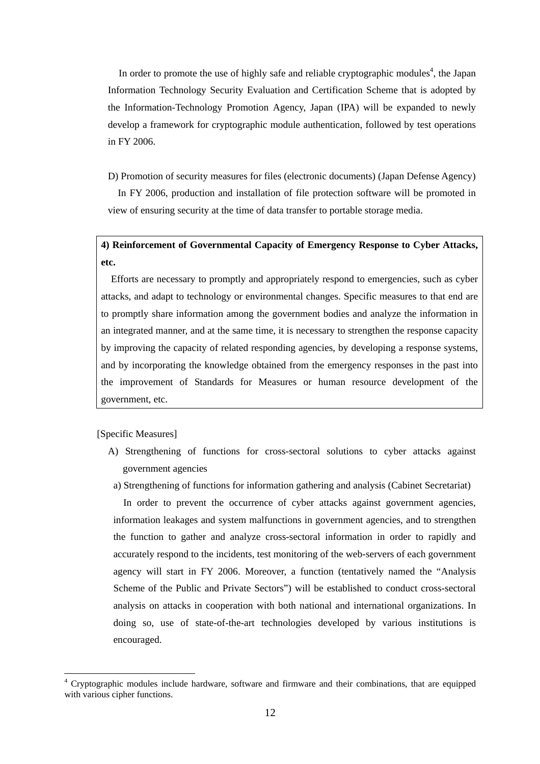In order to promote the use of highly safe and reliable cryptographic modules<sup>[4](#page-13-0)</sup>, the Japan Information Technology Security Evaluation and Certification Scheme that is adopted by the Information-Technology Promotion Agency, Japan (IPA) will be expanded to newly develop a framework for cryptographic module authentication, followed by test operations in FY 2006.

D) Promotion of security measures for files (electronic documents) (Japan Defense Agency)

In FY 2006, production and installation of file protection software will be promoted in view of ensuring security at the time of data transfer to portable storage media.

**4) Reinforcement of Governmental Capacity of Emergency Response to Cyber Attacks, etc.** 

Efforts are necessary to promptly and appropriately respond to emergencies, such as cyber attacks, and adapt to technology or environmental changes. Specific measures to that end are to promptly share information among the government bodies and analyze the information in an integrated manner, and at the same time, it is necessary to strengthen the response capacity by improving the capacity of related responding agencies, by developing a response systems, and by incorporating the knowledge obtained from the emergency responses in the past into the improvement of Standards for Measures or human resource development of the government, etc.

[Specific Measures]

- A) Strengthening of functions for cross-sectoral solutions to cyber attacks against government agencies
- a) Strengthening of functions for information gathering and analysis (Cabinet Secretariat)

In order to prevent the occurrence of cyber attacks against government agencies, information leakages and system malfunctions in government agencies, and to strengthen the function to gather and analyze cross-sectoral information in order to rapidly and accurately respond to the incidents, test monitoring of the web-servers of each government agency will start in FY 2006. Moreover, a function (tentatively named the "Analysis Scheme of the Public and Private Sectors") will be established to conduct cross-sectoral analysis on attacks in cooperation with both national and international organizations. In doing so, use of state-of-the-art technologies developed by various institutions is encouraged.

<span id="page-13-0"></span> $\frac{1}{4}$  Cryptographic modules include hardware, software and firmware and their combinations, that are equipped with various cipher functions.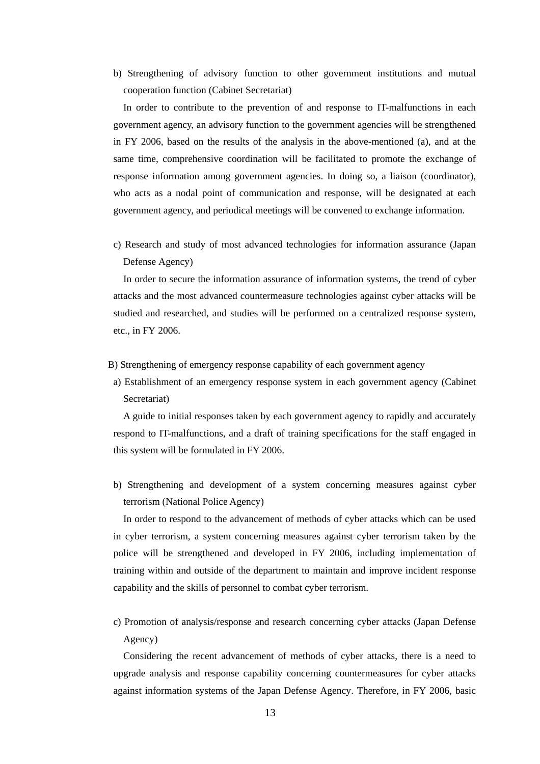b) Strengthening of advisory function to other government institutions and mutual cooperation function (Cabinet Secretariat)

In order to contribute to the prevention of and response to IT-malfunctions in each government agency, an advisory function to the government agencies will be strengthened in FY 2006, based on the results of the analysis in the above-mentioned (a), and at the same time, comprehensive coordination will be facilitated to promote the exchange of response information among government agencies. In doing so, a liaison (coordinator), who acts as a nodal point of communication and response, will be designated at each government agency, and periodical meetings will be convened to exchange information.

c) Research and study of most advanced technologies for information assurance (Japan Defense Agency)

In order to secure the information assurance of information systems, the trend of cyber attacks and the most advanced countermeasure technologies against cyber attacks will be studied and researched, and studies will be performed on a centralized response system, etc., in FY 2006.

- B) Strengthening of emergency response capability of each government agency
- a) Establishment of an emergency response system in each government agency (Cabinet Secretariat)

A guide to initial responses taken by each government agency to rapidly and accurately respond to IT-malfunctions, and a draft of training specifications for the staff engaged in this system will be formulated in FY 2006.

b) Strengthening and development of a system concerning measures against cyber terrorism (National Police Agency)

In order to respond to the advancement of methods of cyber attacks which can be used in cyber terrorism, a system concerning measures against cyber terrorism taken by the police will be strengthened and developed in FY 2006, including implementation of training within and outside of the department to maintain and improve incident response capability and the skills of personnel to combat cyber terrorism.

c) Promotion of analysis/response and research concerning cyber attacks (Japan Defense Agency)

Considering the recent advancement of methods of cyber attacks, there is a need to upgrade analysis and response capability concerning countermeasures for cyber attacks against information systems of the Japan Defense Agency. Therefore, in FY 2006, basic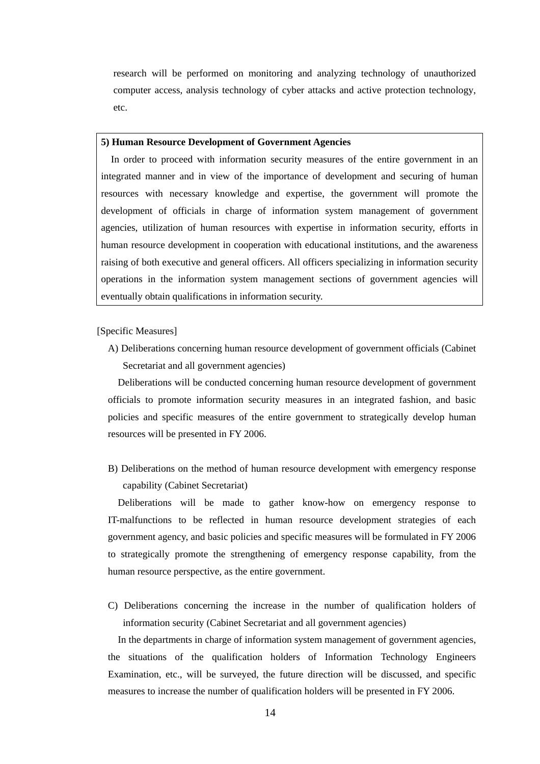research will be performed on monitoring and analyzing technology of unauthorized computer access, analysis technology of cyber attacks and active protection technology, etc.

#### **5) Human Resource Development of Government Agencies**

In order to proceed with information security measures of the entire government in an integrated manner and in view of the importance of development and securing of human resources with necessary knowledge and expertise, the government will promote the development of officials in charge of information system management of government agencies, utilization of human resources with expertise in information security, efforts in human resource development in cooperation with educational institutions, and the awareness raising of both executive and general officers. All officers specializing in information security operations in the information system management sections of government agencies will eventually obtain qualifications in information security.

[Specific Measures]

A) Deliberations concerning human resource development of government officials (Cabinet Secretariat and all government agencies)

Deliberations will be conducted concerning human resource development of government officials to promote information security measures in an integrated fashion, and basic policies and specific measures of the entire government to strategically develop human resources will be presented in FY 2006.

B) Deliberations on the method of human resource development with emergency response capability (Cabinet Secretariat)

Deliberations will be made to gather know-how on emergency response to IT-malfunctions to be reflected in human resource development strategies of each government agency, and basic policies and specific measures will be formulated in FY 2006 to strategically promote the strengthening of emergency response capability, from the human resource perspective, as the entire government.

C) Deliberations concerning the increase in the number of qualification holders of information security (Cabinet Secretariat and all government agencies)

In the departments in charge of information system management of government agencies, the situations of the qualification holders of Information Technology Engineers Examination, etc., will be surveyed, the future direction will be discussed, and specific measures to increase the number of qualification holders will be presented in FY 2006.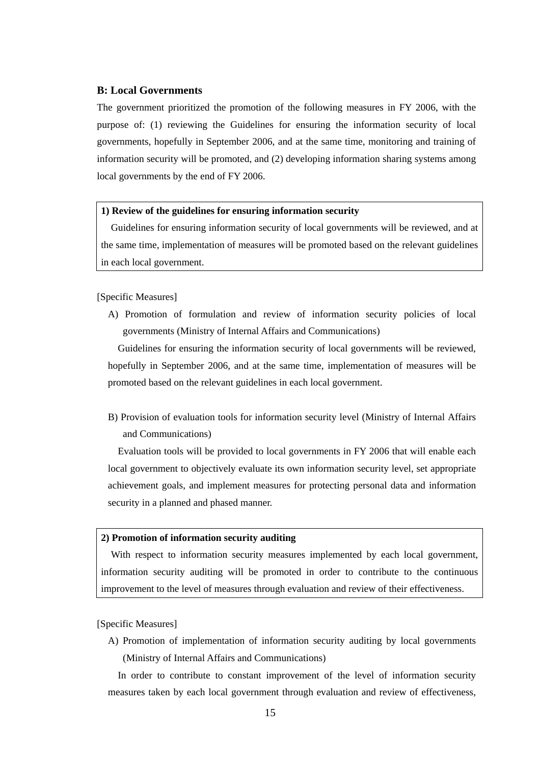### **B: Local Governments**

The government prioritized the promotion of the following measures in FY 2006, with the purpose of: (1) reviewing the Guidelines for ensuring the information security of local governments, hopefully in September 2006, and at the same time, monitoring and training of information security will be promoted, and (2) developing information sharing systems among local governments by the end of FY 2006.

### **1) Review of the guidelines for ensuring information security**

Guidelines for ensuring information security of local governments will be reviewed, and at the same time, implementation of measures will be promoted based on the relevant guidelines in each local government.

### [Specific Measures]

A) Promotion of formulation and review of information security policies of local governments (Ministry of Internal Affairs and Communications)

Guidelines for ensuring the information security of local governments will be reviewed, hopefully in September 2006, and at the same time, implementation of measures will be promoted based on the relevant guidelines in each local government.

B) Provision of evaluation tools for information security level (Ministry of Internal Affairs and Communications)

Evaluation tools will be provided to local governments in FY 2006 that will enable each local government to objectively evaluate its own information security level, set appropriate achievement goals, and implement measures for protecting personal data and information security in a planned and phased manner.

### **2) Promotion of information security auditing**

With respect to information security measures implemented by each local government, information security auditing will be promoted in order to contribute to the continuous improvement to the level of measures through evaluation and review of their effectiveness.

### [Specific Measures]

A) Promotion of implementation of information security auditing by local governments (Ministry of Internal Affairs and Communications)

In order to contribute to constant improvement of the level of information security measures taken by each local government through evaluation and review of effectiveness,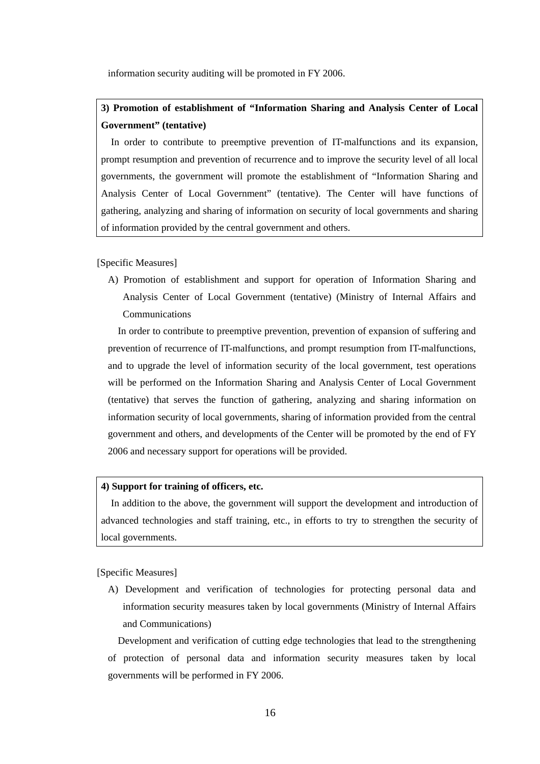information security auditing will be promoted in FY 2006.

# **3) Promotion of establishment of "Information Sharing and Analysis Center of Local Government" (tentative)**

In order to contribute to preemptive prevention of IT-malfunctions and its expansion, prompt resumption and prevention of recurrence and to improve the security level of all local governments, the government will promote the establishment of "Information Sharing and Analysis Center of Local Government" (tentative). The Center will have functions of gathering, analyzing and sharing of information on security of local governments and sharing of information provided by the central government and others.

[Specific Measures]

A) Promotion of establishment and support for operation of Information Sharing and Analysis Center of Local Government (tentative) (Ministry of Internal Affairs and Communications

In order to contribute to preemptive prevention, prevention of expansion of suffering and prevention of recurrence of IT-malfunctions, and prompt resumption from IT-malfunctions, and to upgrade the level of information security of the local government, test operations will be performed on the Information Sharing and Analysis Center of Local Government (tentative) that serves the function of gathering, analyzing and sharing information on information security of local governments, sharing of information provided from the central government and others, and developments of the Center will be promoted by the end of FY 2006 and necessary support for operations will be provided.

# **4) Support for training of officers, etc.**

In addition to the above, the government will support the development and introduction of advanced technologies and staff training, etc., in efforts to try to strengthen the security of local governments.

[Specific Measures]

A) Development and verification of technologies for protecting personal data and information security measures taken by local governments (Ministry of Internal Affairs and Communications)

Development and verification of cutting edge technologies that lead to the strengthening of protection of personal data and information security measures taken by local governments will be performed in FY 2006.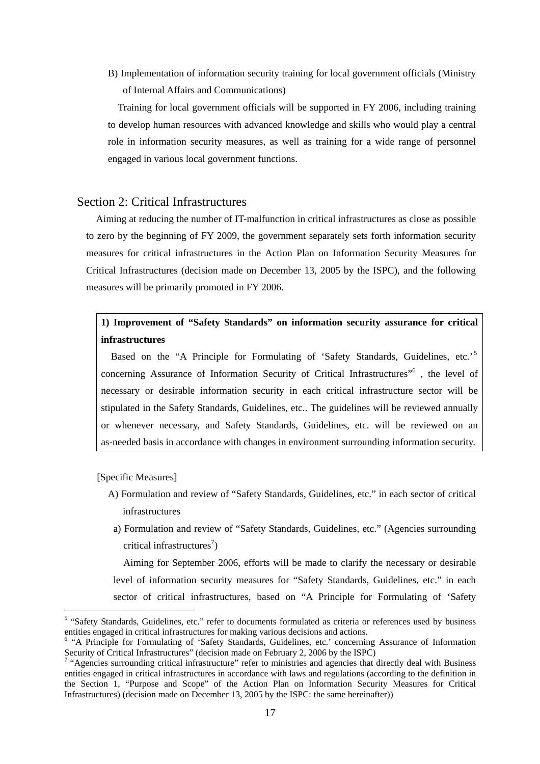<span id="page-18-0"></span>B) Implementation of information security training for local government officials (Ministry of Internal Affairs and Communications)

Training for local government officials will be supported in FY 2006, including training to develop human resources with advanced knowledge and skills who would play a central role in information security measures, as well as training for a wide range of personnel engaged in various local government functions.

# Section 2: Critical Infrastructures

Aiming at reducing the number of IT-malfunction in critical infrastructures as close as possible to zero by the beginning of FY 2009, the government separately sets forth information security measures for critical infrastructures in the Action Plan on Information Security Measures for Critical Infrastructures (decision made on December 13, 2005 by the ISPC), and the following measures will be primarily promoted in FY 2006.

# **1) Improvement of "Safety Standards" on information security assurance for critical infrastructures**

Based on the "A Principle for Formulating of 'Safety Standards, Guidelines, etc.'<sup>[5](#page-18-1)</sup> concerning Assurance of Information Security of Critical Infrastructures"<sup>[6](#page-18-2)</sup>, the level of necessary or desirable information security in each critical infrastructure sector will be stipulated in the Safety Standards, Guidelines, etc.. The guidelines will be reviewed annually or whenever necessary, and Safety Standards, Guidelines, etc. will be reviewed on an as-needed basis in accordance with changes in environment surrounding information security.

[Specific Measures]

- A) Formulation and review of "Safety Standards, Guidelines, etc." in each sector of critical infrastructures
- a) Formulation and review of "Safety Standards, Guidelines, etc." (Agencies surrounding critical infrastructures<sup>[7](#page-18-3)</sup>)

Aiming for September 2006, efforts will be made to clarify the necessary or desirable level of information security measures for "Safety Standards, Guidelines, etc." in each sector of critical infrastructures, based on "A Principle for Formulating of 'Safety

<span id="page-18-1"></span> $\frac{1}{5}$ <sup>5</sup> "Safety Standards, Guidelines, etc." refer to documents formulated as criteria or references used by business entities engaged in critical infrastructures for making various decisions and actions. 6

<span id="page-18-2"></span><sup>&</sup>lt;sup>6</sup> "A Principle for Formulating of 'Safety Standards, Guidelines, etc.' concerning Assurance of Information Security of Critical Infrastructures" (decision made on February 2, 2006 by the ISPC)

<span id="page-18-3"></span> $^7$  "Agencies surrounding critical infrastructure" refer to ministries and agencies that directly deal with Business entities engaged in critical infrastructures in accordance with laws and regulations (according to the definition in the Section 1, "Purpose and Scope" of the Action Plan on Information Security Measures for Critical Infrastructures) (decision made on December 13, 2005 by the ISPC: the same hereinafter))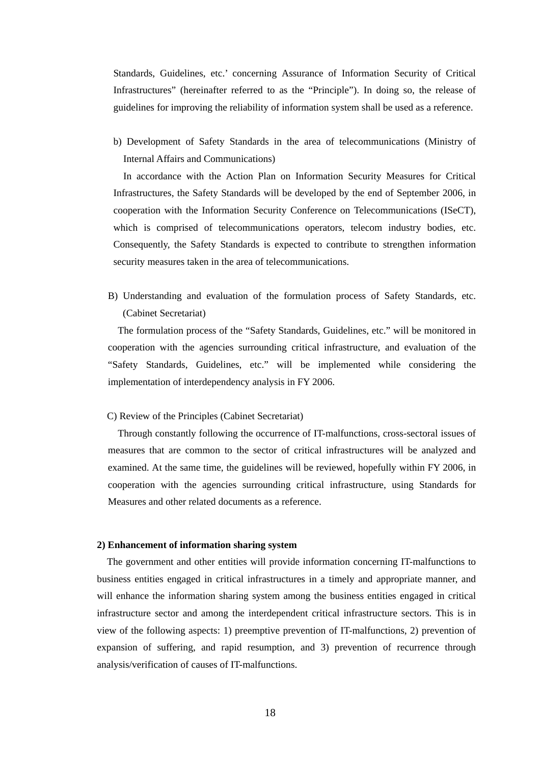Standards, Guidelines, etc.' concerning Assurance of Information Security of Critical Infrastructures" (hereinafter referred to as the "Principle"). In doing so, the release of guidelines for improving the reliability of information system shall be used as a reference.

b) Development of Safety Standards in the area of telecommunications (Ministry of Internal Affairs and Communications)

In accordance with the Action Plan on Information Security Measures for Critical Infrastructures, the Safety Standards will be developed by the end of September 2006, in cooperation with the Information Security Conference on Telecommunications (ISeCT), which is comprised of telecommunications operators, telecom industry bodies, etc. Consequently, the Safety Standards is expected to contribute to strengthen information security measures taken in the area of telecommunications.

B) Understanding and evaluation of the formulation process of Safety Standards, etc. (Cabinet Secretariat)

The formulation process of the "Safety Standards, Guidelines, etc." will be monitored in cooperation with the agencies surrounding critical infrastructure, and evaluation of the "Safety Standards, Guidelines, etc." will be implemented while considering the implementation of interdependency analysis in FY 2006.

### C) Review of the Principles (Cabinet Secretariat)

Through constantly following the occurrence of IT-malfunctions, cross-sectoral issues of measures that are common to the sector of critical infrastructures will be analyzed and examined. At the same time, the guidelines will be reviewed, hopefully within FY 2006, in cooperation with the agencies surrounding critical infrastructure, using Standards for Measures and other related documents as a reference.

#### **2) Enhancement of information sharing system**

The government and other entities will provide information concerning IT-malfunctions to business entities engaged in critical infrastructures in a timely and appropriate manner, and will enhance the information sharing system among the business entities engaged in critical infrastructure sector and among the interdependent critical infrastructure sectors. This is in view of the following aspects: 1) preemptive prevention of IT-malfunctions, 2) prevention of expansion of suffering, and rapid resumption, and 3) prevention of recurrence through analysis/verification of causes of IT-malfunctions.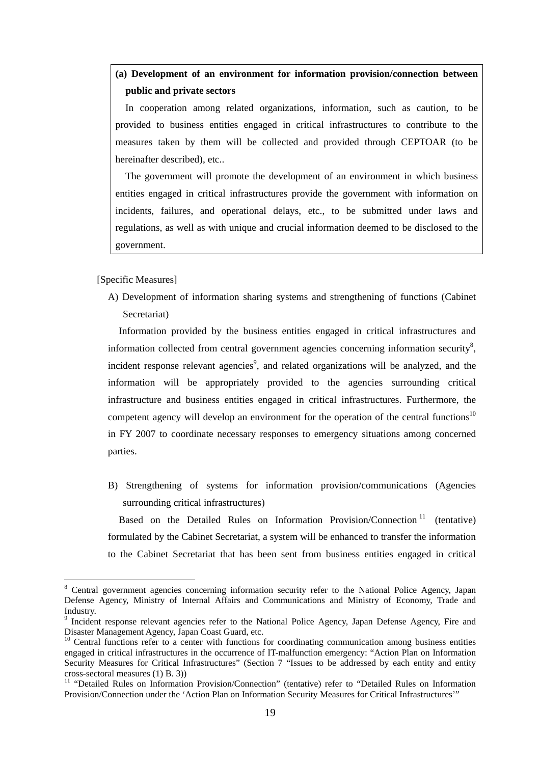# **(a) Development of an environment for information provision/connection between public and private sectors**

In cooperation among related organizations, information, such as caution, to be provided to business entities engaged in critical infrastructures to contribute to the measures taken by them will be collected and provided through CEPTOAR (to be hereinafter described), etc..

The government will promote the development of an environment in which business entities engaged in critical infrastructures provide the government with information on incidents, failures, and operational delays, etc., to be submitted under laws and regulations, as well as with unique and crucial information deemed to be disclosed to the government.

[Specific Measures]

A) Development of information sharing systems and strengthening of functions (Cabinet Secretariat)

Information provided by the business entities engaged in critical infrastructures and information collected from central government agencies concerning information security<sup>[8](#page-20-0)</sup>, incident response relevant agencies<sup>[9](#page-20-1)</sup>, and related organizations will be analyzed, and the information will be appropriately provided to the agencies surrounding critical infrastructure and business entities engaged in critical infrastructures. Furthermore, the competent agency will develop an environment for the operation of the central functions<sup>[10](#page-20-2)</sup> in FY 2007 to coordinate necessary responses to emergency situations among concerned parties.

B) Strengthening of systems for information provision/communications (Agencies surrounding critical infrastructures)

Based on the Detailed Rules on Information Provision/Connection<sup>11</sup> (tentative) formulated by the Cabinet Secretariat, a system will be enhanced to transfer the information to the Cabinet Secretariat that has been sent from business entities engaged in critical

<span id="page-20-0"></span>8 <sup>8</sup> Central government agencies concerning information security refer to the National Police Agency, Japan Defense Agency, Ministry of Internal Affairs and Communications and Ministry of Economy, Trade and Industry.

<span id="page-20-1"></span><sup>&</sup>lt;sup>9</sup> Incident response relevant agencies refer to the National Police Agency, Japan Defense Agency, Fire and Disaster Management Agency, Japan Coast Guard, etc.<br><sup>10</sup> Central functions refer to a center with functions for coordinating communication among business entities

<span id="page-20-2"></span>engaged in critical infrastructures in the occurrence of IT-malfunction emergency: "Action Plan on Information Security Measures for Critical Infrastructures" (Section 7 "Issues to be addressed by each entity and entity cross-sectoral measures (1) B. 3))<br><sup>11</sup> "Detailed Rules on Information Provision/Connection" (tentative) refer to "Detailed Rules on Information

<span id="page-20-3"></span>Provision/Connection under the 'Action Plan on Information Security Measures for Critical Infrastructures'"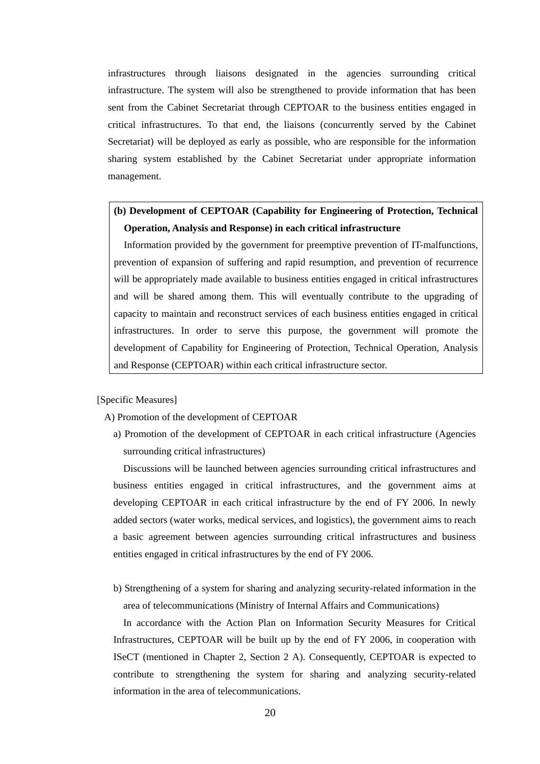infrastructures through liaisons designated in the agencies surrounding critical infrastructure. The system will also be strengthened to provide information that has been sent from the Cabinet Secretariat through CEPTOAR to the business entities engaged in critical infrastructures. To that end, the liaisons (concurrently served by the Cabinet Secretariat) will be deployed as early as possible, who are responsible for the information sharing system established by the Cabinet Secretariat under appropriate information management.

# **(b) Development of CEPTOAR (Capability for Engineering of Protection, Technical Operation, Analysis and Response) in each critical infrastructure**

Information provided by the government for preemptive prevention of IT-malfunctions, prevention of expansion of suffering and rapid resumption, and prevention of recurrence will be appropriately made available to business entities engaged in critical infrastructures and will be shared among them. This will eventually contribute to the upgrading of capacity to maintain and reconstruct services of each business entities engaged in critical infrastructures. In order to serve this purpose, the government will promote the development of Capability for Engineering of Protection, Technical Operation, Analysis and Response (CEPTOAR) within each critical infrastructure sector.

### [Specific Measures]

A) Promotion of the development of CEPTOAR

a) Promotion of the development of CEPTOAR in each critical infrastructure (Agencies surrounding critical infrastructures)

Discussions will be launched between agencies surrounding critical infrastructures and business entities engaged in critical infrastructures, and the government aims at developing CEPTOAR in each critical infrastructure by the end of FY 2006. In newly added sectors (water works, medical services, and logistics), the government aims to reach a basic agreement between agencies surrounding critical infrastructures and business entities engaged in critical infrastructures by the end of FY 2006.

b) Strengthening of a system for sharing and analyzing security-related information in the area of telecommunications (Ministry of Internal Affairs and Communications)

In accordance with the Action Plan on Information Security Measures for Critical Infrastructures, CEPTOAR will be built up by the end of FY 2006, in cooperation with ISeCT (mentioned in Chapter 2, Section 2 A). Consequently, CEPTOAR is expected to contribute to strengthening the system for sharing and analyzing security-related information in the area of telecommunications.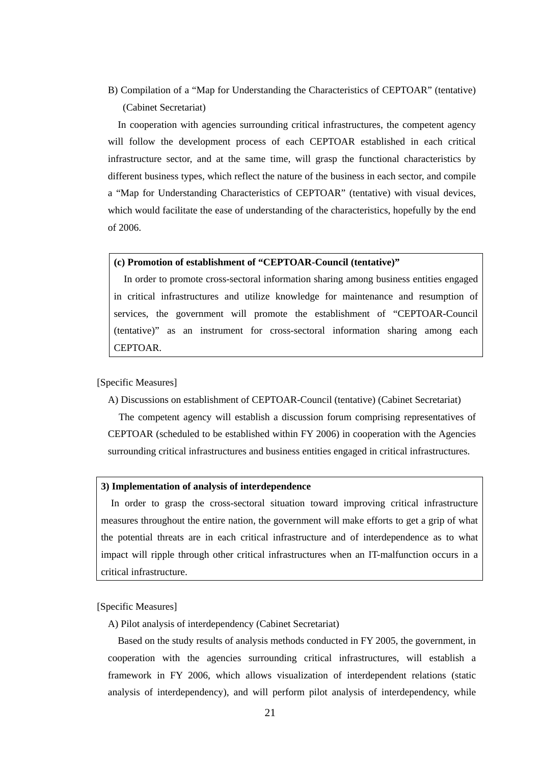B) Compilation of a "Map for Understanding the Characteristics of CEPTOAR" (tentative) (Cabinet Secretariat)

In cooperation with agencies surrounding critical infrastructures, the competent agency will follow the development process of each CEPTOAR established in each critical infrastructure sector, and at the same time, will grasp the functional characteristics by different business types, which reflect the nature of the business in each sector, and compile a "Map for Understanding Characteristics of CEPTOAR" (tentative) with visual devices, which would facilitate the ease of understanding of the characteristics, hopefully by the end of 2006.

### **(c) Promotion of establishment of "CEPTOAR-Council (tentative)"**

In order to promote cross-sectoral information sharing among business entities engaged in critical infrastructures and utilize knowledge for maintenance and resumption of services, the government will promote the establishment of "CEPTOAR-Council (tentative)" as an instrument for cross-sectoral information sharing among each CEPTOAR.

### [Specific Measures]

A) Discussions on establishment of CEPTOAR-Council (tentative) (Cabinet Secretariat)

The competent agency will establish a discussion forum comprising representatives of CEPTOAR (scheduled to be established within FY 2006) in cooperation with the Agencies surrounding critical infrastructures and business entities engaged in critical infrastructures.

#### **3) Implementation of analysis of interdependence**

In order to grasp the cross-sectoral situation toward improving critical infrastructure measures throughout the entire nation, the government will make efforts to get a grip of what the potential threats are in each critical infrastructure and of interdependence as to what impact will ripple through other critical infrastructures when an IT-malfunction occurs in a critical infrastructure.

[Specific Measures]

A) Pilot analysis of interdependency (Cabinet Secretariat)

Based on the study results of analysis methods conducted in FY 2005, the government, in cooperation with the agencies surrounding critical infrastructures, will establish a framework in FY 2006, which allows visualization of interdependent relations (static analysis of interdependency), and will perform pilot analysis of interdependency, while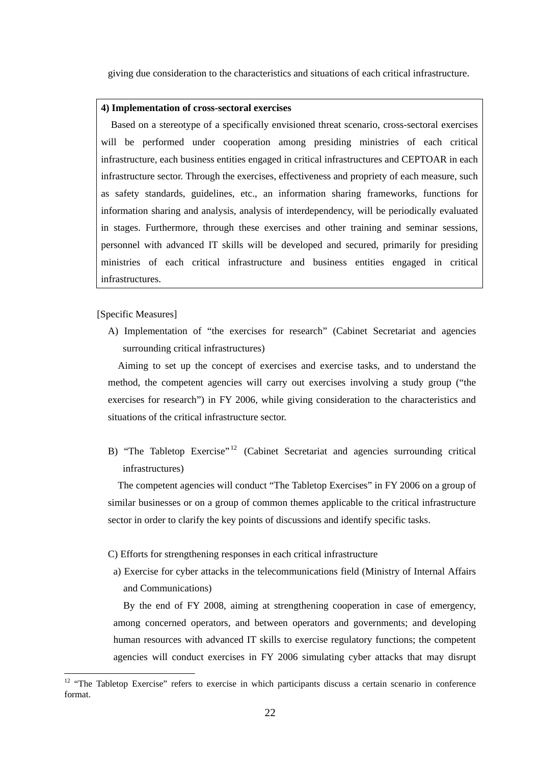giving due consideration to the characteristics and situations of each critical infrastructure.

#### **4) Implementation of cross-sectoral exercises**

Based on a stereotype of a specifically envisioned threat scenario, cross-sectoral exercises will be performed under cooperation among presiding ministries of each critical infrastructure, each business entities engaged in critical infrastructures and CEPTOAR in each infrastructure sector. Through the exercises, effectiveness and propriety of each measure, such as safety standards, guidelines, etc., an information sharing frameworks, functions for information sharing and analysis, analysis of interdependency, will be periodically evaluated in stages. Furthermore, through these exercises and other training and seminar sessions, personnel with advanced IT skills will be developed and secured, primarily for presiding ministries of each critical infrastructure and business entities engaged in critical infrastructures.

[Specific Measures]

A) Implementation of "the exercises for research" (Cabinet Secretariat and agencies surrounding critical infrastructures)

Aiming to set up the concept of exercises and exercise tasks, and to understand the method, the competent agencies will carry out exercises involving a study group ("the exercises for research") in FY 2006, while giving consideration to the characteristics and situations of the critical infrastructure sector.

B) "The Tabletop Exercise"<sup>12</sup> (Cabinet Secretariat and agencies surrounding critical infrastructures)

The competent agencies will conduct "The Tabletop Exercises" in FY 2006 on a group of similar businesses or on a group of common themes applicable to the critical infrastructure sector in order to clarify the key points of discussions and identify specific tasks.

### C) Efforts for strengthening responses in each critical infrastructure

a) Exercise for cyber attacks in the telecommunications field (Ministry of Internal Affairs and Communications)

By the end of FY 2008, aiming at strengthening cooperation in case of emergency, among concerned operators, and between operators and governments; and developing human resources with advanced IT skills to exercise regulatory functions; the competent agencies will conduct exercises in FY 2006 simulating cyber attacks that may disrupt

<span id="page-23-0"></span><sup>&</sup>lt;sup>12</sup> "The Tabletop Exercise" refers to exercise in which participants discuss a certain scenario in conference format.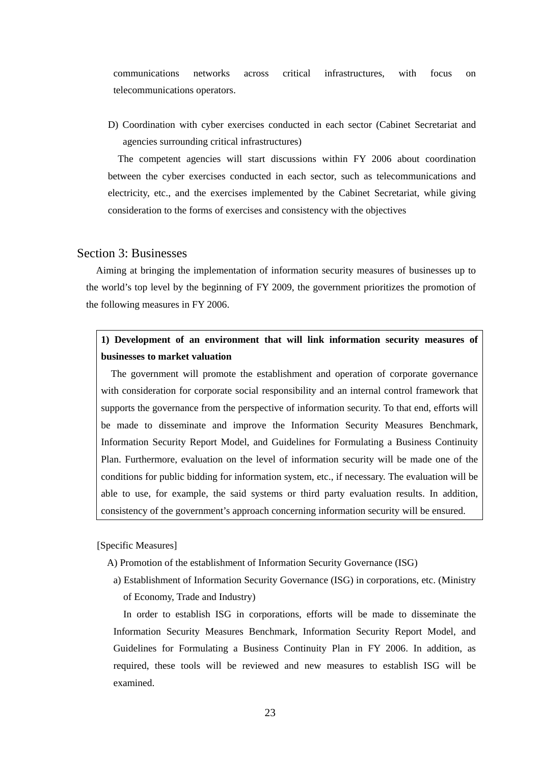<span id="page-24-0"></span>communications networks across critical infrastructures, with focus on telecommunications operators.

D) Coordination with cyber exercises conducted in each sector (Cabinet Secretariat and agencies surrounding critical infrastructures)

The competent agencies will start discussions within FY 2006 about coordination between the cyber exercises conducted in each sector, such as telecommunications and electricity, etc., and the exercises implemented by the Cabinet Secretariat, while giving consideration to the forms of exercises and consistency with the objectives

# Section 3: Businesses

Aiming at bringing the implementation of information security measures of businesses up to the world's top level by the beginning of FY 2009, the government prioritizes the promotion of the following measures in FY 2006.

# **1) Development of an environment that will link information security measures of businesses to market valuation**

The government will promote the establishment and operation of corporate governance with consideration for corporate social responsibility and an internal control framework that supports the governance from the perspective of information security. To that end, efforts will be made to disseminate and improve the Information Security Measures Benchmark, Information Security Report Model, and Guidelines for Formulating a Business Continuity Plan. Furthermore, evaluation on the level of information security will be made one of the conditions for public bidding for information system, etc., if necessary. The evaluation will be able to use, for example, the said systems or third party evaluation results. In addition, consistency of the government's approach concerning information security will be ensured.

[Specific Measures]

- A) Promotion of the establishment of Information Security Governance (ISG)
- a) Establishment of Information Security Governance (ISG) in corporations, etc. (Ministry of Economy, Trade and Industry)

In order to establish ISG in corporations, efforts will be made to disseminate the Information Security Measures Benchmark, Information Security Report Model, and Guidelines for Formulating a Business Continuity Plan in FY 2006. In addition, as required, these tools will be reviewed and new measures to establish ISG will be examined.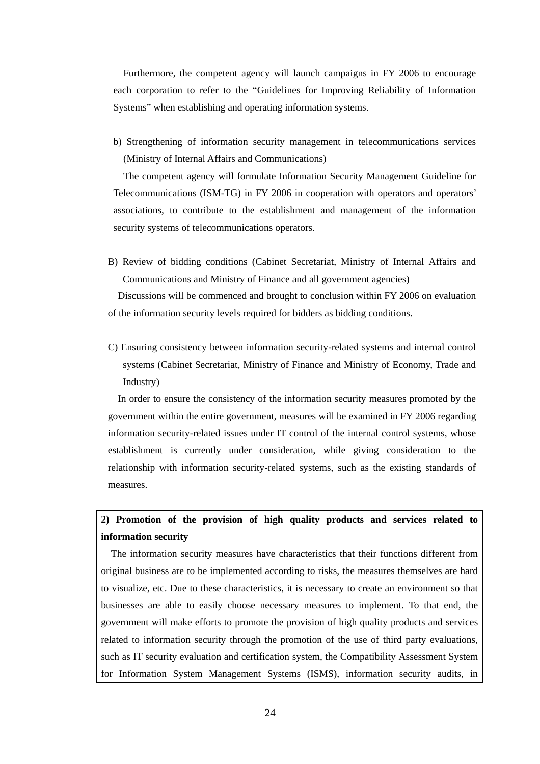Furthermore, the competent agency will launch campaigns in FY 2006 to encourage each corporation to refer to the "Guidelines for Improving Reliability of Information Systems" when establishing and operating information systems.

b) Strengthening of information security management in telecommunications services (Ministry of Internal Affairs and Communications)

The competent agency will formulate Information Security Management Guideline for Telecommunications (ISM-TG) in FY 2006 in cooperation with operators and operators' associations, to contribute to the establishment and management of the information security systems of telecommunications operators.

B) Review of bidding conditions (Cabinet Secretariat, Ministry of Internal Affairs and Communications and Ministry of Finance and all government agencies)

Discussions will be commenced and brought to conclusion within FY 2006 on evaluation of the information security levels required for bidders as bidding conditions.

C) Ensuring consistency between information security-related systems and internal control systems (Cabinet Secretariat, Ministry of Finance and Ministry of Economy, Trade and Industry)

In order to ensure the consistency of the information security measures promoted by the government within the entire government, measures will be examined in FY 2006 regarding information security-related issues under IT control of the internal control systems, whose establishment is currently under consideration, while giving consideration to the relationship with information security-related systems, such as the existing standards of measures.

# **2) Promotion of the provision of high quality products and services related to information security**

The information security measures have characteristics that their functions different from original business are to be implemented according to risks, the measures themselves are hard to visualize, etc. Due to these characteristics, it is necessary to create an environment so that businesses are able to easily choose necessary measures to implement. To that end, the government will make efforts to promote the provision of high quality products and services related to information security through the promotion of the use of third party evaluations, such as IT security evaluation and certification system, the Compatibility Assessment System for Information System Management Systems (ISMS), information security audits, in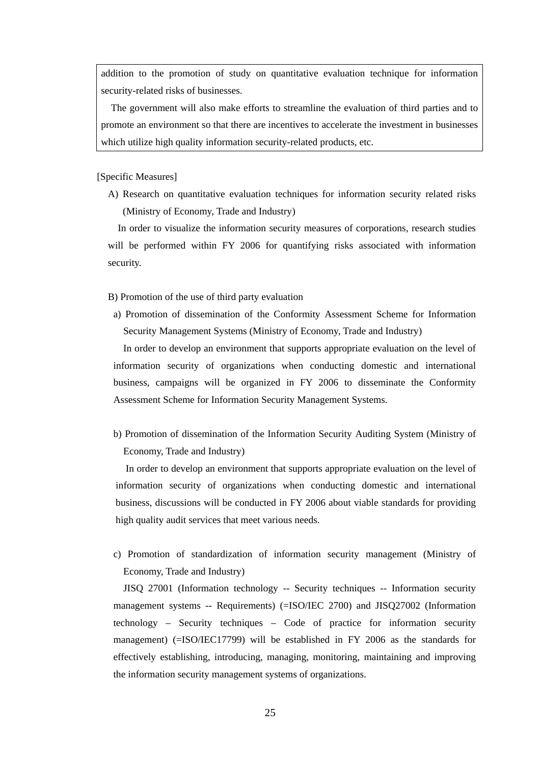addition to the promotion of study on quantitative evaluation technique for information security-related risks of businesses.

The government will also make efforts to streamline the evaluation of third parties and to promote an environment so that there are incentives to accelerate the investment in businesses which utilize high quality information security-related products, etc.

[Specific Measures]

A) Research on quantitative evaluation techniques for information security related risks (Ministry of Economy, Trade and Industry)

In order to visualize the information security measures of corporations, research studies will be performed within FY 2006 for quantifying risks associated with information security.

B) Promotion of the use of third party evaluation

a) Promotion of dissemination of the Conformity Assessment Scheme for Information Security Management Systems (Ministry of Economy, Trade and Industry)

In order to develop an environment that supports appropriate evaluation on the level of information security of organizations when conducting domestic and international business, campaigns will be organized in FY 2006 to disseminate the Conformity Assessment Scheme for Information Security Management Systems.

b) Promotion of dissemination of the Information Security Auditing System (Ministry of Economy, Trade and Industry)

In order to develop an environment that supports appropriate evaluation on the level of information security of organizations when conducting domestic and international business, discussions will be conducted in FY 2006 about viable standards for providing high quality audit services that meet various needs.

c) Promotion of standardization of information security management (Ministry of Economy, Trade and Industry)

JISQ 27001 (Information technology -- Security techniques -- Information security management systems -- Requirements) (=ISO/IEC 2700) and JISQ27002 (Information technology – Security techniques – Code of practice for information security management) (=ISO/IEC17799) will be established in FY 2006 as the standards for effectively establishing, introducing, managing, monitoring, maintaining and improving the information security management systems of organizations.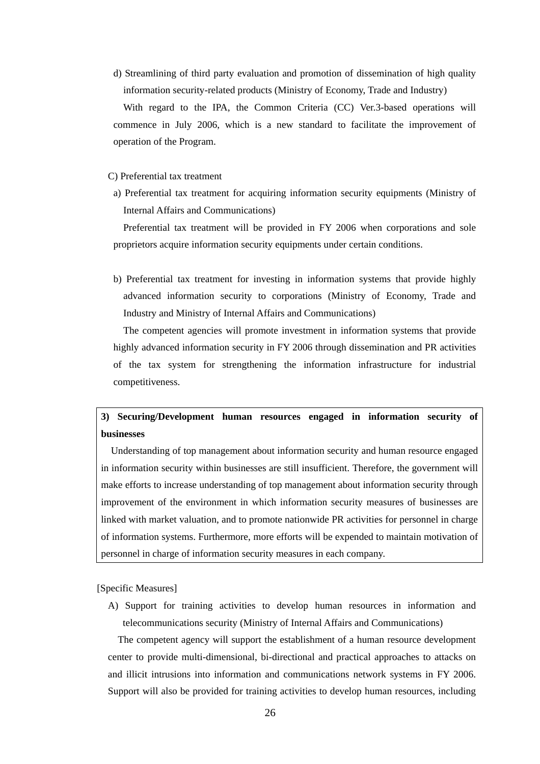d) Streamlining of third party evaluation and promotion of dissemination of high quality information security-related products (Ministry of Economy, Trade and Industry)

With regard to the IPA, the Common Criteria (CC) Ver.3-based operations will commence in July 2006, which is a new standard to facilitate the improvement of operation of the Program.

C) Preferential tax treatment

a) Preferential tax treatment for acquiring information security equipments (Ministry of Internal Affairs and Communications)

Preferential tax treatment will be provided in FY 2006 when corporations and sole proprietors acquire information security equipments under certain conditions.

b) Preferential tax treatment for investing in information systems that provide highly advanced information security to corporations (Ministry of Economy, Trade and Industry and Ministry of Internal Affairs and Communications)

The competent agencies will promote investment in information systems that provide highly advanced information security in FY 2006 through dissemination and PR activities of the tax system for strengthening the information infrastructure for industrial competitiveness.

# **3) Securing/Development human resources engaged in information security of businesses**

Understanding of top management about information security and human resource engaged in information security within businesses are still insufficient. Therefore, the government will make efforts to increase understanding of top management about information security through improvement of the environment in which information security measures of businesses are linked with market valuation, and to promote nationwide PR activities for personnel in charge of information systems. Furthermore, more efforts will be expended to maintain motivation of personnel in charge of information security measures in each company.

[Specific Measures]

A) Support for training activities to develop human resources in information and telecommunications security (Ministry of Internal Affairs and Communications)

The competent agency will support the establishment of a human resource development center to provide multi-dimensional, bi-directional and practical approaches to attacks on and illicit intrusions into information and communications network systems in FY 2006. Support will also be provided for training activities to develop human resources, including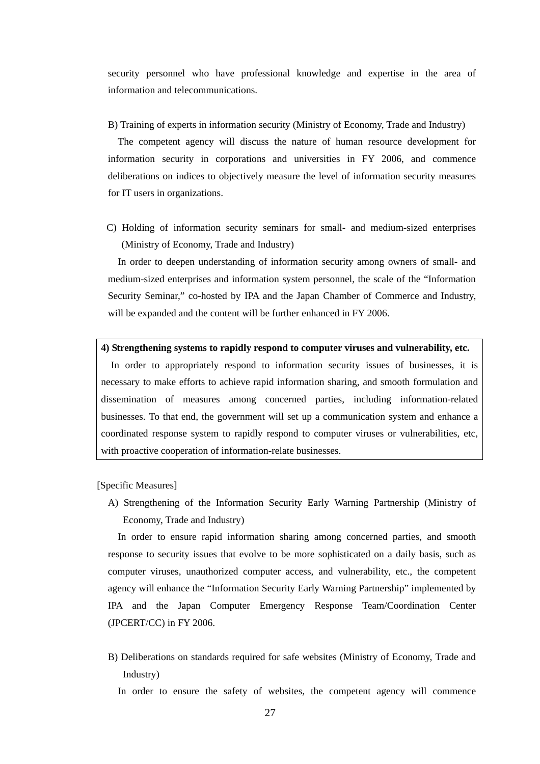security personnel who have professional knowledge and expertise in the area of information and telecommunications.

B) Training of experts in information security (Ministry of Economy, Trade and Industry)

The competent agency will discuss the nature of human resource development for information security in corporations and universities in FY 2006, and commence deliberations on indices to objectively measure the level of information security measures for IT users in organizations.

C) Holding of information security seminars for small- and medium-sized enterprises (Ministry of Economy, Trade and Industry)

In order to deepen understanding of information security among owners of small- and medium-sized enterprises and information system personnel, the scale of the "Information Security Seminar," co-hosted by IPA and the Japan Chamber of Commerce and Industry, will be expanded and the content will be further enhanced in FY 2006.

**4) Strengthening systems to rapidly respond to computer viruses and vulnerability, etc.** 

In order to appropriately respond to information security issues of businesses, it is necessary to make efforts to achieve rapid information sharing, and smooth formulation and dissemination of measures among concerned parties, including information-related businesses. To that end, the government will set up a communication system and enhance a coordinated response system to rapidly respond to computer viruses or vulnerabilities, etc, with proactive cooperation of information-relate businesses.

[Specific Measures]

A) Strengthening of the Information Security Early Warning Partnership (Ministry of Economy, Trade and Industry)

In order to ensure rapid information sharing among concerned parties, and smooth response to security issues that evolve to be more sophisticated on a daily basis, such as computer viruses, unauthorized computer access, and vulnerability, etc., the competent agency will enhance the "Information Security Early Warning Partnership" implemented by IPA and the Japan Computer Emergency Response Team/Coordination Center (JPCERT/CC) in FY 2006.

- B) Deliberations on standards required for safe websites (Ministry of Economy, Trade and Industry)
	- In order to ensure the safety of websites, the competent agency will commence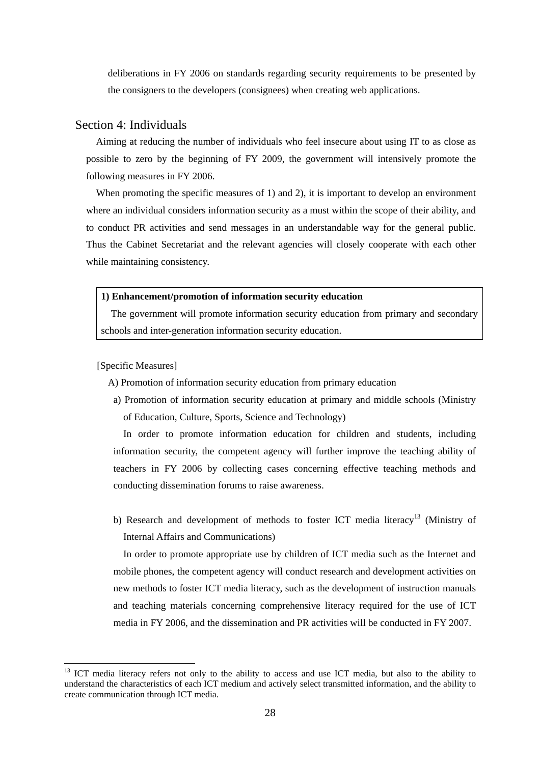deliberations in FY 2006 on standards regarding security requirements to be presented by the consigners to the developers (consignees) when creating web applications.

# Section 4: Individuals

Aiming at reducing the number of individuals who feel insecure about using IT to as close as possible to zero by the beginning of FY 2009, the government will intensively promote the following measures in FY 2006.

When promoting the specific measures of 1) and 2), it is important to develop an environment where an individual considers information security as a must within the scope of their ability, and to conduct PR activities and send messages in an understandable way for the general public. Thus the Cabinet Secretariat and the relevant agencies will closely cooperate with each other while maintaining consistency.

### **1) Enhancement/promotion of information security education**

The government will promote information security education from primary and secondary schools and inter-generation information security education.

[Specific Measures]

A) Promotion of information security education from primary education

a) Promotion of information security education at primary and middle schools (Ministry of Education, Culture, Sports, Science and Technology)

In order to promote information education for children and students, including information security, the competent agency will further improve the teaching ability of teachers in FY 2006 by collecting cases concerning effective teaching methods and conducting dissemination forums to raise awareness.

b) Research and development of methods to foster ICT media literacy<sup>13</sup> (Ministry of Internal Affairs and Communications)

In order to promote appropriate use by children of ICT media such as the Internet and mobile phones, the competent agency will conduct research and development activities on new methods to foster ICT media literacy, such as the development of instruction manuals and teaching materials concerning comprehensive literacy required for the use of ICT media in FY 2006, and the dissemination and PR activities will be conducted in FY 2007.

<span id="page-29-0"></span><sup>&</sup>lt;sup>13</sup> ICT media literacy refers not only to the ability to access and use ICT media, but also to the ability to understand the characteristics of each ICT medium and actively select transmitted information, and the ability to create communication through ICT media.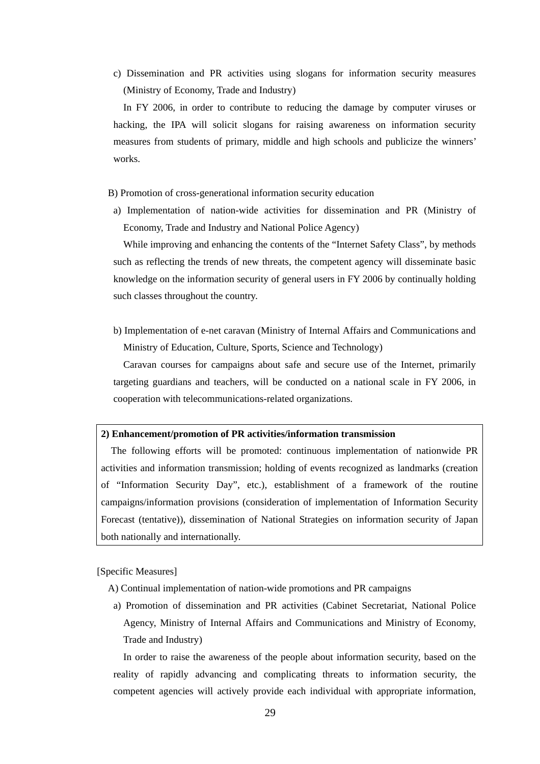c) Dissemination and PR activities using slogans for information security measures (Ministry of Economy, Trade and Industry)

In FY 2006, in order to contribute to reducing the damage by computer viruses or hacking, the IPA will solicit slogans for raising awareness on information security measures from students of primary, middle and high schools and publicize the winners' works.

B) Promotion of cross-generational information security education

a) Implementation of nation-wide activities for dissemination and PR (Ministry of Economy, Trade and Industry and National Police Agency)

While improving and enhancing the contents of the "Internet Safety Class", by methods such as reflecting the trends of new threats, the competent agency will disseminate basic knowledge on the information security of general users in FY 2006 by continually holding such classes throughout the country.

b) Implementation of e-net caravan (Ministry of Internal Affairs and Communications and Ministry of Education, Culture, Sports, Science and Technology)

Caravan courses for campaigns about safe and secure use of the Internet, primarily targeting guardians and teachers, will be conducted on a national scale in FY 2006, in cooperation with telecommunications-related organizations.

### **2) Enhancement/promotion of PR activities/information transmission**

The following efforts will be promoted: continuous implementation of nationwide PR activities and information transmission; holding of events recognized as landmarks (creation of "Information Security Day", etc.), establishment of a framework of the routine campaigns/information provisions (consideration of implementation of Information Security Forecast (tentative)), dissemination of National Strategies on information security of Japan both nationally and internationally.

[Specific Measures]

- A) Continual implementation of nation-wide promotions and PR campaigns
- a) Promotion of dissemination and PR activities (Cabinet Secretariat, National Police Agency, Ministry of Internal Affairs and Communications and Ministry of Economy, Trade and Industry)

In order to raise the awareness of the people about information security, based on the reality of rapidly advancing and complicating threats to information security, the competent agencies will actively provide each individual with appropriate information,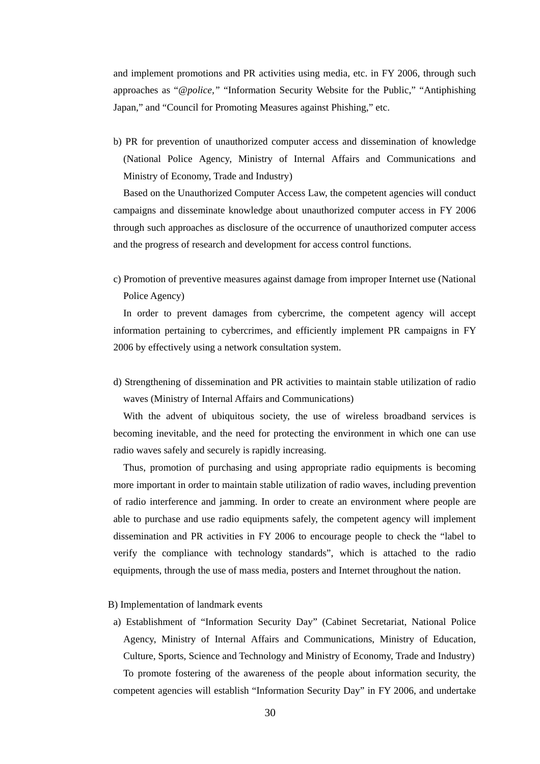and implement promotions and PR activities using media, etc. in FY 2006, through such approaches as "*@police,"* "Information Security Website for the Public," "Antiphishing Japan," and "Council for Promoting Measures against Phishing," etc.

b) PR for prevention of unauthorized computer access and dissemination of knowledge (National Police Agency, Ministry of Internal Affairs and Communications and Ministry of Economy, Trade and Industry)

Based on the Unauthorized Computer Access Law, the competent agencies will conduct campaigns and disseminate knowledge about unauthorized computer access in FY 2006 through such approaches as disclosure of the occurrence of unauthorized computer access and the progress of research and development for access control functions.

c) Promotion of preventive measures against damage from improper Internet use (National Police Agency)

In order to prevent damages from cybercrime, the competent agency will accept information pertaining to cybercrimes, and efficiently implement PR campaigns in FY 2006 by effectively using a network consultation system.

d) Strengthening of dissemination and PR activities to maintain stable utilization of radio waves (Ministry of Internal Affairs and Communications)

With the advent of ubiquitous society, the use of wireless broadband services is becoming inevitable, and the need for protecting the environment in which one can use radio waves safely and securely is rapidly increasing.

Thus, promotion of purchasing and using appropriate radio equipments is becoming more important in order to maintain stable utilization of radio waves, including prevention of radio interference and jamming. In order to create an environment where people are able to purchase and use radio equipments safely, the competent agency will implement dissemination and PR activities in FY 2006 to encourage people to check the "label to verify the compliance with technology standards", which is attached to the radio equipments, through the use of mass media, posters and Internet throughout the nation.

### B) Implementation of landmark events

a) Establishment of "Information Security Day" (Cabinet Secretariat, National Police Agency, Ministry of Internal Affairs and Communications, Ministry of Education, Culture, Sports, Science and Technology and Ministry of Economy, Trade and Industry) To promote fostering of the awareness of the people about information security, the competent agencies will establish "Information Security Day" in FY 2006, and undertake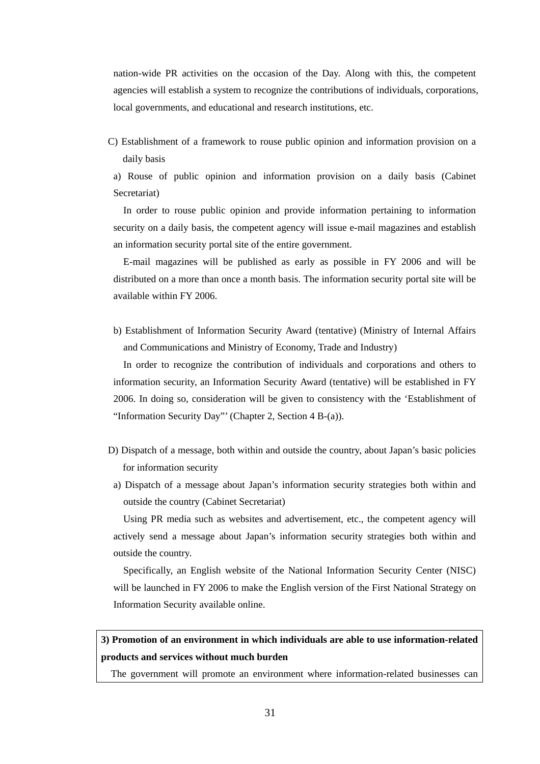nation-wide PR activities on the occasion of the Day. Along with this, the competent agencies will establish a system to recognize the contributions of individuals, corporations, local governments, and educational and research institutions, etc.

C) Establishment of a framework to rouse public opinion and information provision on a daily basis

a) Rouse of public opinion and information provision on a daily basis (Cabinet Secretariat)

In order to rouse public opinion and provide information pertaining to information security on a daily basis, the competent agency will issue e-mail magazines and establish an information security portal site of the entire government.

E-mail magazines will be published as early as possible in FY 2006 and will be distributed on a more than once a month basis. The information security portal site will be available within FY 2006.

b) Establishment of Information Security Award (tentative) (Ministry of Internal Affairs and Communications and Ministry of Economy, Trade and Industry)

In order to recognize the contribution of individuals and corporations and others to information security, an Information Security Award (tentative) will be established in FY 2006. In doing so, consideration will be given to consistency with the 'Establishment of "Information Security Day"' (Chapter 2, Section 4 B-(a)).

- D) Dispatch of a message, both within and outside the country, about Japan's basic policies for information security
- a) Dispatch of a message about Japan's information security strategies both within and outside the country (Cabinet Secretariat)

Using PR media such as websites and advertisement, etc., the competent agency will actively send a message about Japan's information security strategies both within and outside the country.

Specifically, an English website of the National Information Security Center (NISC) will be launched in FY 2006 to make the English version of the First National Strategy on Information Security available online.

# **3) Promotion of an environment in which individuals are able to use information-related products and services without much burden**

The government will promote an environment where information-related businesses can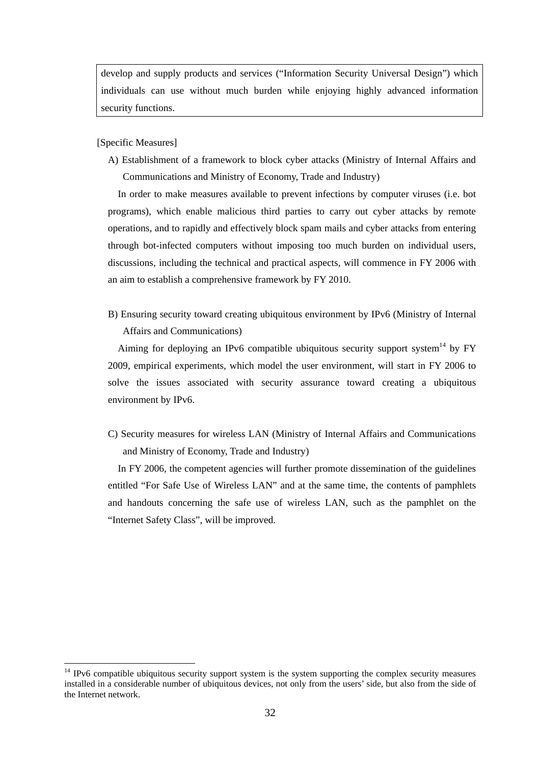develop and supply products and services ("Information Security Universal Design") which individuals can use without much burden while enjoying highly advanced information security functions.

[Specific Measures]

A) Establishment of a framework to block cyber attacks (Ministry of Internal Affairs and Communications and Ministry of Economy, Trade and Industry)

In order to make measures available to prevent infections by computer viruses (i.e. bot programs), which enable malicious third parties to carry out cyber attacks by remote operations, and to rapidly and effectively block spam mails and cyber attacks from entering through bot-infected computers without imposing too much burden on individual users, discussions, including the technical and practical aspects, will commence in FY 2006 with an aim to establish a comprehensive framework by FY 2010.

B) Ensuring security toward creating ubiquitous environment by IPv6 (Ministry of Internal Affairs and Communications)

Aiming for deploying an IPv6 compatible ubiquitous security support system<sup>14</sup> by FY 2009, empirical experiments, which model the user environment, will start in FY 2006 to solve the issues associated with security assurance toward creating a ubiquitous environment by IPv6.

C) Security measures for wireless LAN (Ministry of Internal Affairs and Communications and Ministry of Economy, Trade and Industry)

In FY 2006, the competent agencies will further promote dissemination of the guidelines entitled "For Safe Use of Wireless LAN" and at the same time, the contents of pamphlets and handouts concerning the safe use of wireless LAN, such as the pamphlet on the "Internet Safety Class", will be improved.

<span id="page-33-0"></span><sup>&</sup>lt;sup>14</sup> IPv6 compatible ubiquitous security support system is the system supporting the complex security measures installed in a considerable number of ubiquitous devices, not only from the users' side, but also from the side of the Internet network.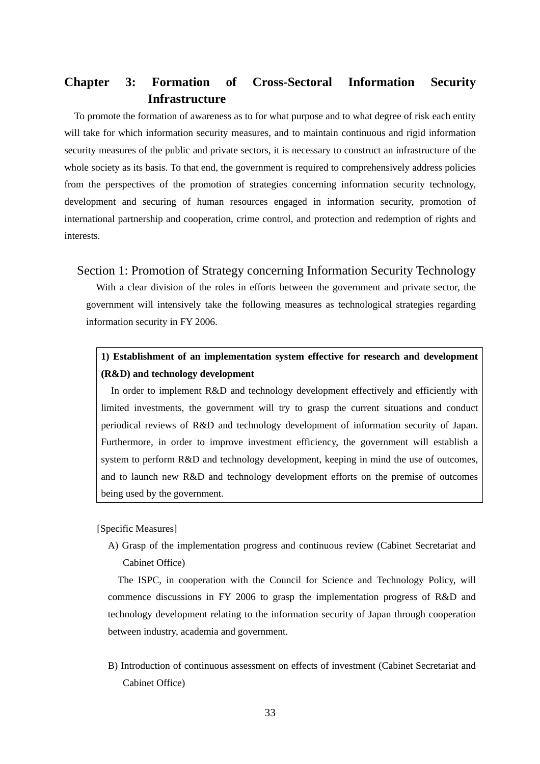# <span id="page-34-0"></span>**Chapter 3: Formation of Cross-Sectoral Information Security Infrastructure**

To promote the formation of awareness as to for what purpose and to what degree of risk each entity will take for which information security measures, and to maintain continuous and rigid information security measures of the public and private sectors, it is necessary to construct an infrastructure of the whole society as its basis. To that end, the government is required to comprehensively address policies from the perspectives of the promotion of strategies concerning information security technology, development and securing of human resources engaged in information security, promotion of international partnership and cooperation, crime control, and protection and redemption of rights and interests.

# Section 1: Promotion of Strategy concerning Information Security Technology

With a clear division of the roles in efforts between the government and private sector, the government will intensively take the following measures as technological strategies regarding information security in FY 2006.

# **1) Establishment of an implementation system effective for research and development (R&D) and technology development**

In order to implement R&D and technology development effectively and efficiently with limited investments, the government will try to grasp the current situations and conduct periodical reviews of R&D and technology development of information security of Japan. Furthermore, in order to improve investment efficiency, the government will establish a system to perform R&D and technology development, keeping in mind the use of outcomes, and to launch new R&D and technology development efforts on the premise of outcomes being used by the government.

### [Specific Measures]

A) Grasp of the implementation progress and continuous review (Cabinet Secretariat and Cabinet Office)

The ISPC, in cooperation with the Council for Science and Technology Policy, will commence discussions in FY 2006 to grasp the implementation progress of R&D and technology development relating to the information security of Japan through cooperation between industry, academia and government.

B) Introduction of continuous assessment on effects of investment (Cabinet Secretariat and Cabinet Office)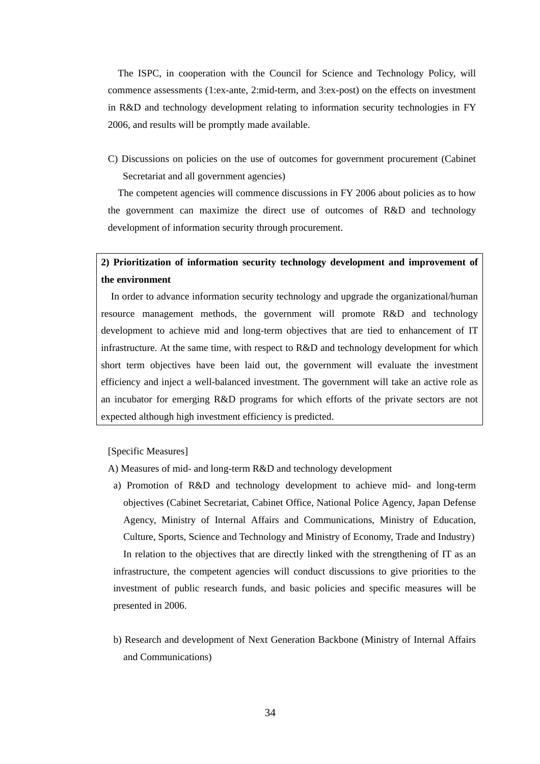The ISPC, in cooperation with the Council for Science and Technology Policy, will commence assessments (1:ex-ante, 2:mid-term, and 3:ex-post) on the effects on investment in R&D and technology development relating to information security technologies in FY 2006, and results will be promptly made available.

C) Discussions on policies on the use of outcomes for government procurement (Cabinet Secretariat and all government agencies)

The competent agencies will commence discussions in FY 2006 about policies as to how the government can maximize the direct use of outcomes of R&D and technology development of information security through procurement.

# **2) Prioritization of information security technology development and improvement of the environment**

In order to advance information security technology and upgrade the organizational/human resource management methods, the government will promote R&D and technology development to achieve mid and long-term objectives that are tied to enhancement of IT infrastructure. At the same time, with respect to R&D and technology development for which short term objectives have been laid out, the government will evaluate the investment efficiency and inject a well-balanced investment. The government will take an active role as an incubator for emerging R&D programs for which efforts of the private sectors are not expected although high investment efficiency is predicted.

[Specific Measures]

A) Measures of mid- and long-term R&D and technology development

- a) Promotion of R&D and technology development to achieve mid- and long-term objectives (Cabinet Secretariat, Cabinet Office, National Police Agency, Japan Defense Agency, Ministry of Internal Affairs and Communications, Ministry of Education, Culture, Sports, Science and Technology and Ministry of Economy, Trade and Industry) In relation to the objectives that are directly linked with the strengthening of IT as an infrastructure, the competent agencies will conduct discussions to give priorities to the investment of public research funds, and basic policies and specific measures will be presented in 2006.
- b) Research and development of Next Generation Backbone (Ministry of Internal Affairs and Communications)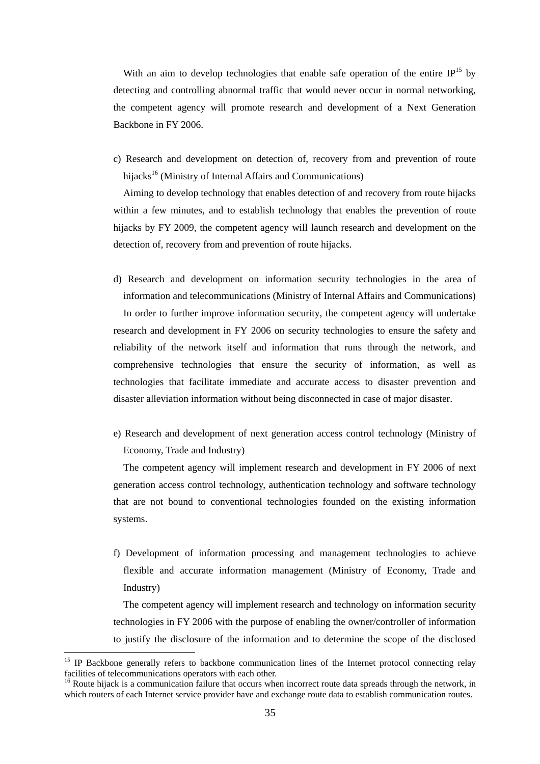With an aim to develop technologies that enable safe operation of the entire  $IP<sup>15</sup>$  by detecting and controlling abnormal traffic that would never occur in normal networking, the competent agency will promote research and development of a Next Generation Backbone in FY 2006.

c) Research and development on detection of, recovery from and prevention of route hijacks<sup>16</sup> (Ministry of Internal Affairs and Communications)

Aiming to develop technology that enables detection of and recovery from route hijacks within a few minutes, and to establish technology that enables the prevention of route hijacks by FY 2009, the competent agency will launch research and development on the detection of, recovery from and prevention of route hijacks.

- d) Research and development on information security technologies in the area of information and telecommunications (Ministry of Internal Affairs and Communications) In order to further improve information security, the competent agency will undertake research and development in FY 2006 on security technologies to ensure the safety and reliability of the network itself and information that runs through the network, and comprehensive technologies that ensure the security of information, as well as technologies that facilitate immediate and accurate access to disaster prevention and disaster alleviation information without being disconnected in case of major disaster.
- e) Research and development of next generation access control technology (Ministry of Economy, Trade and Industry)

The competent agency will implement research and development in FY 2006 of next generation access control technology, authentication technology and software technology that are not bound to conventional technologies founded on the existing information systems.

f) Development of information processing and management technologies to achieve flexible and accurate information management (Ministry of Economy, Trade and Industry)

The competent agency will implement research and technology on information security technologies in FY 2006 with the purpose of enabling the owner/controller of information to justify the disclosure of the information and to determine the scope of the disclosed

<span id="page-36-0"></span><sup>&</sup>lt;sup>15</sup> IP Backbone generally refers to backbone communication lines of the Internet protocol connecting relay facilities of telecommunications operators with each other.<br><sup>16</sup> Route hijack is a communication failure that occurs when incorrect route data spreads through the network, in

<span id="page-36-1"></span>which routers of each Internet service provider have and exchange route data to establish communication routes.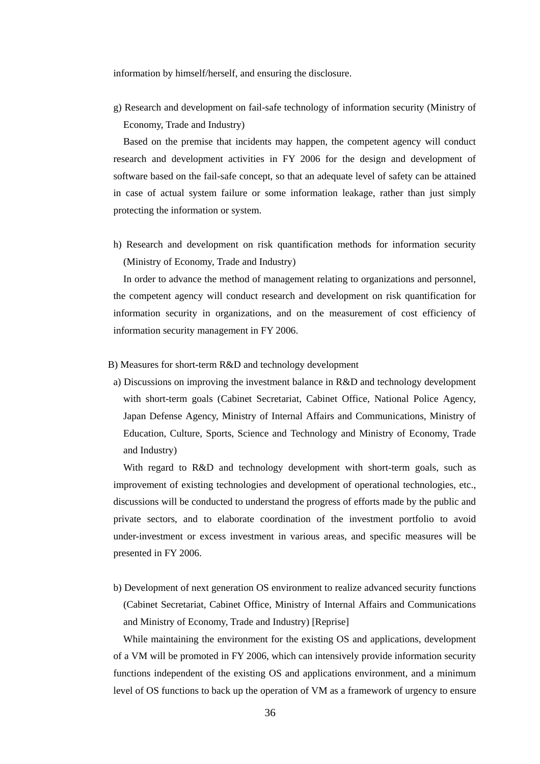information by himself/herself, and ensuring the disclosure.

g) Research and development on fail-safe technology of information security (Ministry of Economy, Trade and Industry)

Based on the premise that incidents may happen, the competent agency will conduct research and development activities in FY 2006 for the design and development of software based on the fail-safe concept, so that an adequate level of safety can be attained in case of actual system failure or some information leakage, rather than just simply protecting the information or system.

h) Research and development on risk quantification methods for information security (Ministry of Economy, Trade and Industry)

In order to advance the method of management relating to organizations and personnel, the competent agency will conduct research and development on risk quantification for information security in organizations, and on the measurement of cost efficiency of information security management in FY 2006.

- B) Measures for short-term R&D and technology development
- a) Discussions on improving the investment balance in R&D and technology development with short-term goals (Cabinet Secretariat, Cabinet Office, National Police Agency, Japan Defense Agency, Ministry of Internal Affairs and Communications, Ministry of Education, Culture, Sports, Science and Technology and Ministry of Economy, Trade and Industry)

With regard to R&D and technology development with short-term goals, such as improvement of existing technologies and development of operational technologies, etc., discussions will be conducted to understand the progress of efforts made by the public and private sectors, and to elaborate coordination of the investment portfolio to avoid under-investment or excess investment in various areas, and specific measures will be presented in FY 2006.

b) Development of next generation OS environment to realize advanced security functions (Cabinet Secretariat, Cabinet Office, Ministry of Internal Affairs and Communications and Ministry of Economy, Trade and Industry) [Reprise]

While maintaining the environment for the existing OS and applications, development of a VM will be promoted in FY 2006, which can intensively provide information security functions independent of the existing OS and applications environment, and a minimum level of OS functions to back up the operation of VM as a framework of urgency to ensure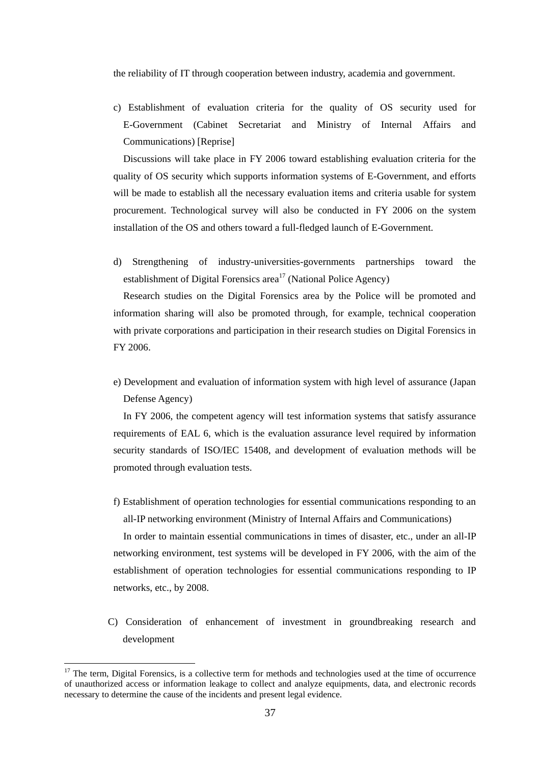the reliability of IT through cooperation between industry, academia and government.

c) Establishment of evaluation criteria for the quality of OS security used for E-Government (Cabinet Secretariat and Ministry of Internal Affairs and Communications) [Reprise]

Discussions will take place in FY 2006 toward establishing evaluation criteria for the quality of OS security which supports information systems of E-Government, and efforts will be made to establish all the necessary evaluation items and criteria usable for system procurement. Technological survey will also be conducted in FY 2006 on the system installation of the OS and others toward a full-fledged launch of E-Government.

d) Strengthening of industry-universities-governments partnerships toward the establishment of Digital Forensics area<sup>17</sup> (National Police Agency)

Research studies on the Digital Forensics area by the Police will be promoted and information sharing will also be promoted through, for example, technical cooperation with private corporations and participation in their research studies on Digital Forensics in FY 2006.

e) Development and evaluation of information system with high level of assurance (Japan Defense Agency)

In FY 2006, the competent agency will test information systems that satisfy assurance requirements of EAL 6, which is the evaluation assurance level required by information security standards of ISO/IEC 15408, and development of evaluation methods will be promoted through evaluation tests.

f) Establishment of operation technologies for essential communications responding to an all-IP networking environment (Ministry of Internal Affairs and Communications)

In order to maintain essential communications in times of disaster, etc., under an all-IP networking environment, test systems will be developed in FY 2006, with the aim of the establishment of operation technologies for essential communications responding to IP networks, etc., by 2008.

C) Consideration of enhancement of investment in groundbreaking research and development

<span id="page-38-0"></span><sup>&</sup>lt;sup>17</sup> The term, Digital Forensics, is a collective term for methods and technologies used at the time of occurrence of unauthorized access or information leakage to collect and analyze equipments, data, and electronic records necessary to determine the cause of the incidents and present legal evidence.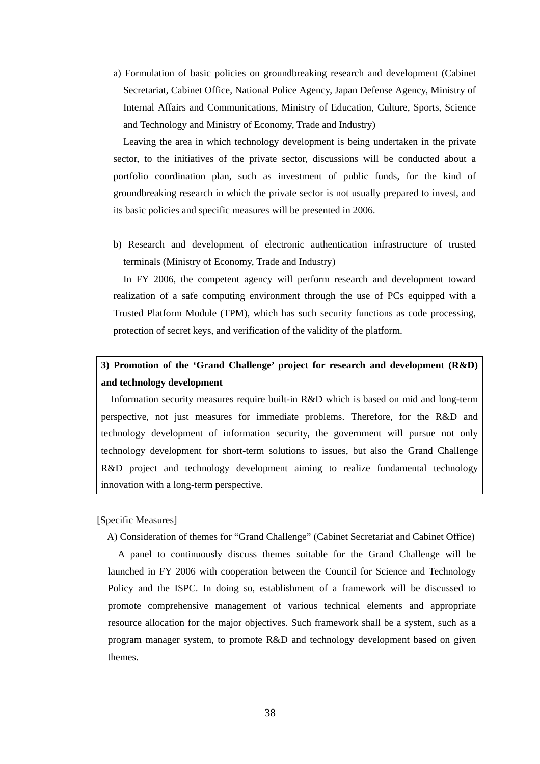a) Formulation of basic policies on groundbreaking research and development (Cabinet Secretariat, Cabinet Office, National Police Agency, Japan Defense Agency, Ministry of Internal Affairs and Communications, Ministry of Education, Culture, Sports, Science and Technology and Ministry of Economy, Trade and Industry)

Leaving the area in which technology development is being undertaken in the private sector, to the initiatives of the private sector, discussions will be conducted about a portfolio coordination plan, such as investment of public funds, for the kind of groundbreaking research in which the private sector is not usually prepared to invest, and its basic policies and specific measures will be presented in 2006.

b) Research and development of electronic authentication infrastructure of trusted terminals (Ministry of Economy, Trade and Industry)

In FY 2006, the competent agency will perform research and development toward realization of a safe computing environment through the use of PCs equipped with a Trusted Platform Module (TPM), which has such security functions as code processing, protection of secret keys, and verification of the validity of the platform.

# **3) Promotion of the 'Grand Challenge' project for research and development (R&D) and technology development**

Information security measures require built-in R&D which is based on mid and long-term perspective, not just measures for immediate problems. Therefore, for the R&D and technology development of information security, the government will pursue not only technology development for short-term solutions to issues, but also the Grand Challenge R&D project and technology development aiming to realize fundamental technology innovation with a long-term perspective.

[Specific Measures]

A) Consideration of themes for "Grand Challenge" (Cabinet Secretariat and Cabinet Office)

A panel to continuously discuss themes suitable for the Grand Challenge will be launched in FY 2006 with cooperation between the Council for Science and Technology Policy and the ISPC. In doing so, establishment of a framework will be discussed to promote comprehensive management of various technical elements and appropriate resource allocation for the major objectives. Such framework shall be a system, such as a program manager system, to promote R&D and technology development based on given themes.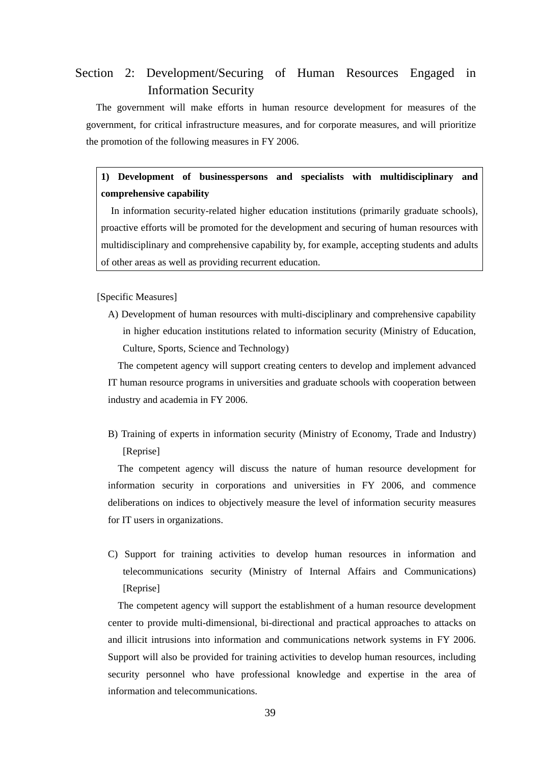# Section 2: Development/Securing of Human Resources Engaged in Information Security

The government will make efforts in human resource development for measures of the government, for critical infrastructure measures, and for corporate measures, and will prioritize the promotion of the following measures in FY 2006.

**1) Development of businesspersons and specialists with multidisciplinary and comprehensive capability** 

In information security-related higher education institutions (primarily graduate schools), proactive efforts will be promoted for the development and securing of human resources with multidisciplinary and comprehensive capability by, for example, accepting students and adults of other areas as well as providing recurrent education.

[Specific Measures]

A) Development of human resources with multi-disciplinary and comprehensive capability in higher education institutions related to information security (Ministry of Education, Culture, Sports, Science and Technology)

The competent agency will support creating centers to develop and implement advanced IT human resource programs in universities and graduate schools with cooperation between industry and academia in FY 2006.

B) Training of experts in information security (Ministry of Economy, Trade and Industry) [Reprise]

The competent agency will discuss the nature of human resource development for information security in corporations and universities in FY 2006, and commence deliberations on indices to objectively measure the level of information security measures for IT users in organizations.

C) Support for training activities to develop human resources in information and telecommunications security (Ministry of Internal Affairs and Communications) [Reprise]

The competent agency will support the establishment of a human resource development center to provide multi-dimensional, bi-directional and practical approaches to attacks on and illicit intrusions into information and communications network systems in FY 2006. Support will also be provided for training activities to develop human resources, including security personnel who have professional knowledge and expertise in the area of information and telecommunications.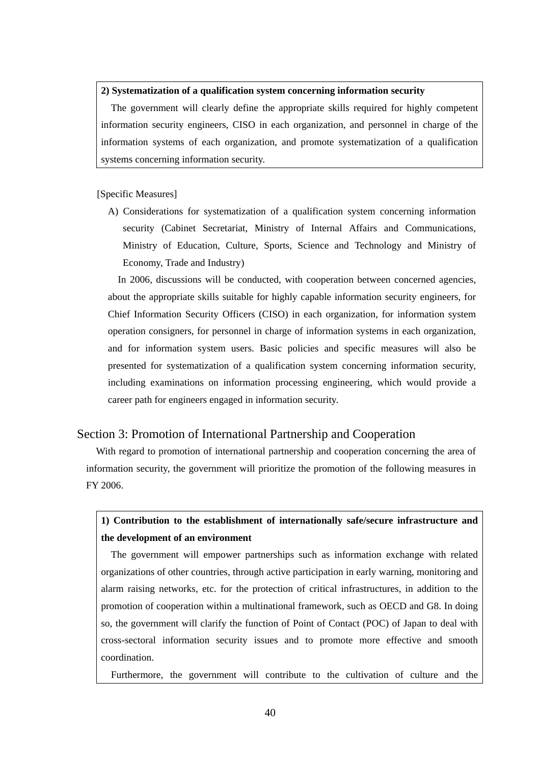### <span id="page-41-0"></span>**2) Systematization of a qualification system concerning information security**

The government will clearly define the appropriate skills required for highly competent information security engineers, CISO in each organization, and personnel in charge of the information systems of each organization, and promote systematization of a qualification systems concerning information security.

# [Specific Measures]

A) Considerations for systematization of a qualification system concerning information security (Cabinet Secretariat, Ministry of Internal Affairs and Communications, Ministry of Education, Culture, Sports, Science and Technology and Ministry of Economy, Trade and Industry)

In 2006, discussions will be conducted, with cooperation between concerned agencies, about the appropriate skills suitable for highly capable information security engineers, for Chief Information Security Officers (CISO) in each organization, for information system operation consigners, for personnel in charge of information systems in each organization, and for information system users. Basic policies and specific measures will also be presented for systematization of a qualification system concerning information security, including examinations on information processing engineering, which would provide a career path for engineers engaged in information security.

# Section 3: Promotion of International Partnership and Cooperation

With regard to promotion of international partnership and cooperation concerning the area of information security, the government will prioritize the promotion of the following measures in FY 2006.

# **1) Contribution to the establishment of internationally safe/secure infrastructure and the development of an environment**

The government will empower partnerships such as information exchange with related organizations of other countries, through active participation in early warning, monitoring and alarm raising networks, etc. for the protection of critical infrastructures, in addition to the promotion of cooperation within a multinational framework, such as OECD and G8. In doing so, the government will clarify the function of Point of Contact (POC) of Japan to deal with cross-sectoral information security issues and to promote more effective and smooth coordination.

Furthermore, the government will contribute to the cultivation of culture and the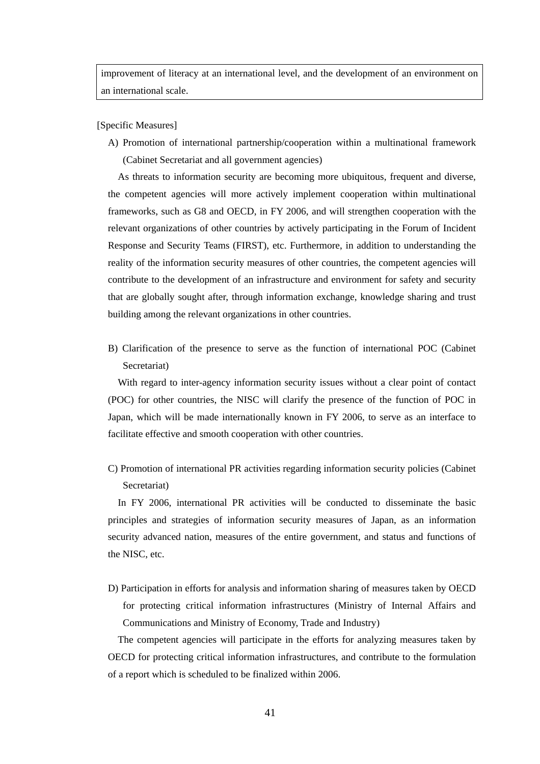improvement of literacy at an international level, and the development of an environment on an international scale.

[Specific Measures]

A) Promotion of international partnership/cooperation within a multinational framework (Cabinet Secretariat and all government agencies)

As threats to information security are becoming more ubiquitous, frequent and diverse, the competent agencies will more actively implement cooperation within multinational frameworks, such as G8 and OECD, in FY 2006, and will strengthen cooperation with the relevant organizations of other countries by actively participating in the Forum of Incident Response and Security Teams (FIRST), etc. Furthermore, in addition to understanding the reality of the information security measures of other countries, the competent agencies will contribute to the development of an infrastructure and environment for safety and security that are globally sought after, through information exchange, knowledge sharing and trust building among the relevant organizations in other countries.

B) Clarification of the presence to serve as the function of international POC (Cabinet Secretariat)

With regard to inter-agency information security issues without a clear point of contact (POC) for other countries, the NISC will clarify the presence of the function of POC in Japan, which will be made internationally known in FY 2006, to serve as an interface to facilitate effective and smooth cooperation with other countries.

C) Promotion of international PR activities regarding information security policies (Cabinet Secretariat)

In FY 2006, international PR activities will be conducted to disseminate the basic principles and strategies of information security measures of Japan, as an information security advanced nation, measures of the entire government, and status and functions of the NISC, etc.

D) Participation in efforts for analysis and information sharing of measures taken by OECD for protecting critical information infrastructures (Ministry of Internal Affairs and Communications and Ministry of Economy, Trade and Industry)

The competent agencies will participate in the efforts for analyzing measures taken by OECD for protecting critical information infrastructures, and contribute to the formulation of a report which is scheduled to be finalized within 2006.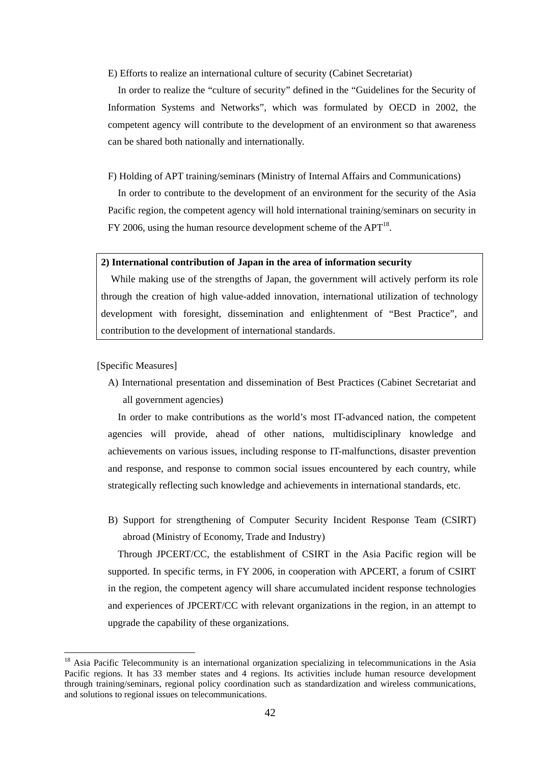#### E) Efforts to realize an international culture of security (Cabinet Secretariat)

In order to realize the "culture of security" defined in the "Guidelines for the Security of Information Systems and Networks", which was formulated by OECD in 2002, the competent agency will contribute to the development of an environment so that awareness can be shared both nationally and internationally.

F) Holding of APT training/seminars (Ministry of Internal Affairs and Communications)

In order to contribute to the development of an environment for the security of the Asia Pacific region, the competent agency will hold international training/seminars on security in FY 2006, using the human resource development scheme of the  $APT^{18}$ .

### **2) International contribution of Japan in the area of information security**

While making use of the strengths of Japan, the government will actively perform its role through the creation of high value-added innovation, international utilization of technology development with foresight, dissemination and enlightenment of "Best Practice", and contribution to the development of international standards.

[Specific Measures]

A) International presentation and dissemination of Best Practices (Cabinet Secretariat and all government agencies)

In order to make contributions as the world's most IT-advanced nation, the competent agencies will provide, ahead of other nations, multidisciplinary knowledge and achievements on various issues, including response to IT-malfunctions, disaster prevention and response, and response to common social issues encountered by each country, while strategically reflecting such knowledge and achievements in international standards, etc.

B) Support for strengthening of Computer Security Incident Response Team (CSIRT) abroad (Ministry of Economy, Trade and Industry)

Through JPCERT/CC, the establishment of CSIRT in the Asia Pacific region will be supported. In specific terms, in FY 2006, in cooperation with APCERT, a forum of CSIRT in the region, the competent agency will share accumulated incident response technologies and experiences of JPCERT/CC with relevant organizations in the region, in an attempt to upgrade the capability of these organizations.

<span id="page-43-0"></span><sup>&</sup>lt;sup>18</sup> Asia Pacific Telecommunity is an international organization specializing in telecommunications in the Asia Pacific regions. It has 33 member states and 4 regions. Its activities include human resource development through training/seminars, regional policy coordination such as standardization and wireless communications, and solutions to regional issues on telecommunications.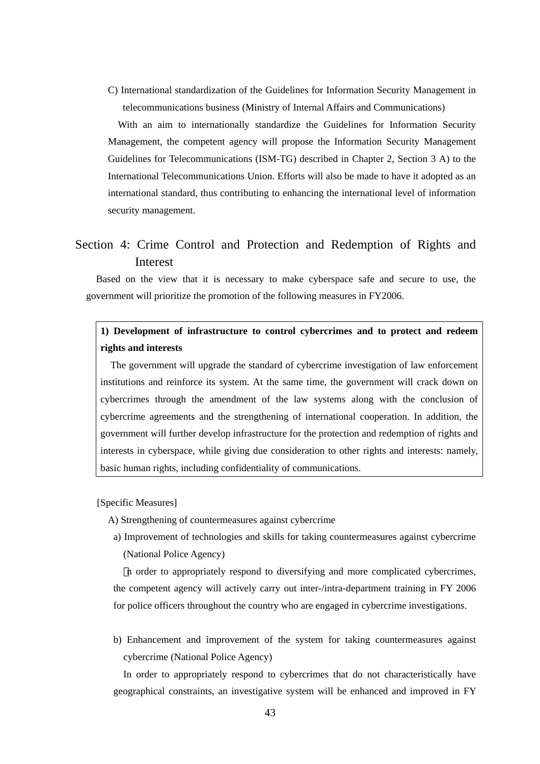<span id="page-44-0"></span>C) International standardization of the Guidelines for Information Security Management in telecommunications business (Ministry of Internal Affairs and Communications)

With an aim to internationally standardize the Guidelines for Information Security Management, the competent agency will propose the Information Security Management Guidelines for Telecommunications (ISM-TG) described in Chapter 2, Section 3 A) to the International Telecommunications Union. Efforts will also be made to have it adopted as an international standard, thus contributing to enhancing the international level of information security management.

# Section 4: Crime Control and Protection and Redemption of Rights and Interest

Based on the view that it is necessary to make cyberspace safe and secure to use, the government will prioritize the promotion of the following measures in FY2006.

# **1) Development of infrastructure to control cybercrimes and to protect and redeem rights and interests**

The government will upgrade the standard of cybercrime investigation of law enforcement institutions and reinforce its system. At the same time, the government will crack down on cybercrimes through the amendment of the law systems along with the conclusion of cybercrime agreements and the strengthening of international cooperation. In addition, the government will further develop infrastructure for the protection and redemption of rights and interests in cyberspace, while giving due consideration to other rights and interests: namely, basic human rights, including confidentiality of communications.

[Specific Measures]

A) Strengthening of countermeasures against cybercrime

a) Improvement of technologies and skills for taking countermeasures against cybercrime (National Police Agency)

n order to appropriately respond to diversifying and more complicated cybercrimes, the competent agency will actively carry out inter-/intra-department training in FY 2006 for police officers throughout the country who are engaged in cybercrime investigations.

b) Enhancement and improvement of the system for taking countermeasures against cybercrime (National Police Agency)

In order to appropriately respond to cybercrimes that do not characteristically have geographical constraints, an investigative system will be enhanced and improved in FY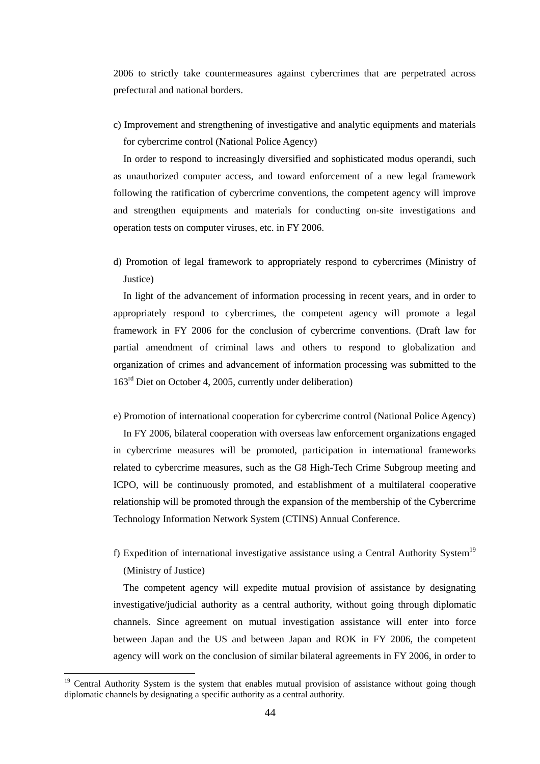2006 to strictly take countermeasures against cybercrimes that are perpetrated across prefectural and national borders.

c) Improvement and strengthening of investigative and analytic equipments and materials for cybercrime control (National Police Agency)

In order to respond to increasingly diversified and sophisticated modus operandi, such as unauthorized computer access, and toward enforcement of a new legal framework following the ratification of cybercrime conventions, the competent agency will improve and strengthen equipments and materials for conducting on-site investigations and operation tests on computer viruses, etc. in FY 2006.

d) Promotion of legal framework to appropriately respond to cybercrimes (Ministry of Justice)

In light of the advancement of information processing in recent years, and in order to appropriately respond to cybercrimes, the competent agency will promote a legal framework in FY 2006 for the conclusion of cybercrime conventions. (Draft law for partial amendment of criminal laws and others to respond to globalization and organization of crimes and advancement of information processing was submitted to the 163rd Diet on October 4, 2005, currently under deliberation)

e) Promotion of international cooperation for cybercrime control (National Police Agency)

In FY 2006, bilateral cooperation with overseas law enforcement organizations engaged in cybercrime measures will be promoted, participation in international frameworks related to cybercrime measures, such as the G8 High-Tech Crime Subgroup meeting and ICPO, will be continuously promoted, and establishment of a multilateral cooperative relationship will be promoted through the expansion of the membership of the Cybercrime Technology Information Network System (CTINS) Annual Conference.

f) Expedition of international investigative assistance using a Central Authority System<sup>[19](#page-45-0)</sup> (Ministry of Justice)

The competent agency will expedite mutual provision of assistance by designating investigative/judicial authority as a central authority, without going through diplomatic channels. Since agreement on mutual investigation assistance will enter into force between Japan and the US and between Japan and ROK in FY 2006, the competent agency will work on the conclusion of similar bilateral agreements in FY 2006, in order to

<span id="page-45-0"></span><sup>&</sup>lt;sup>19</sup> Central Authority System is the system that enables mutual provision of assistance without going though diplomatic channels by designating a specific authority as a central authority.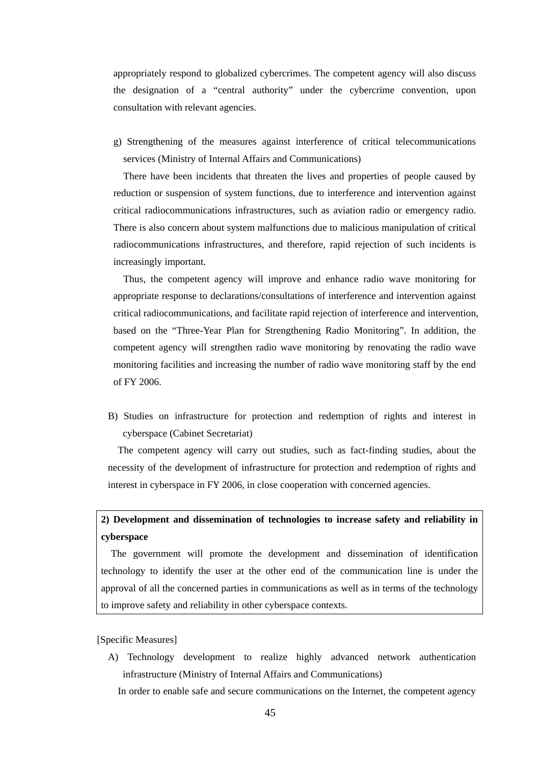appropriately respond to globalized cybercrimes. The competent agency will also discuss the designation of a "central authority" under the cybercrime convention, upon consultation with relevant agencies.

g) Strengthening of the measures against interference of critical telecommunications services (Ministry of Internal Affairs and Communications)

There have been incidents that threaten the lives and properties of people caused by reduction or suspension of system functions, due to interference and intervention against critical radiocommunications infrastructures, such as aviation radio or emergency radio. There is also concern about system malfunctions due to malicious manipulation of critical radiocommunications infrastructures, and therefore, rapid rejection of such incidents is increasingly important.

Thus, the competent agency will improve and enhance radio wave monitoring for appropriate response to declarations/consultations of interference and intervention against critical radiocommunications, and facilitate rapid rejection of interference and intervention, based on the "Three-Year Plan for Strengthening Radio Monitoring". In addition, the competent agency will strengthen radio wave monitoring by renovating the radio wave monitoring facilities and increasing the number of radio wave monitoring staff by the end of FY 2006.

B) Studies on infrastructure for protection and redemption of rights and interest in cyberspace (Cabinet Secretariat)

The competent agency will carry out studies, such as fact-finding studies, about the necessity of the development of infrastructure for protection and redemption of rights and interest in cyberspace in FY 2006, in close cooperation with concerned agencies.

# **2) Development and dissemination of technologies to increase safety and reliability in cyberspace**

The government will promote the development and dissemination of identification technology to identify the user at the other end of the communication line is under the approval of all the concerned parties in communications as well as in terms of the technology to improve safety and reliability in other cyberspace contexts.

### [Specific Measures]

A) Technology development to realize highly advanced network authentication infrastructure (Ministry of Internal Affairs and Communications)

In order to enable safe and secure communications on the Internet, the competent agency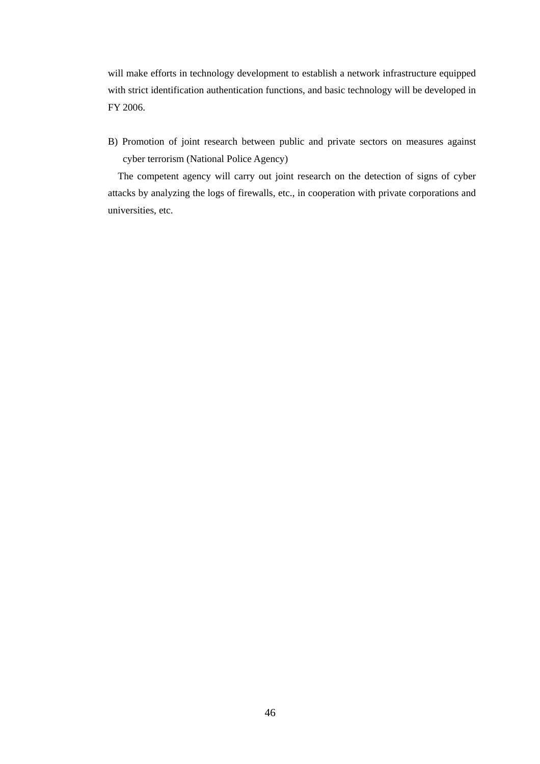will make efforts in technology development to establish a network infrastructure equipped with strict identification authentication functions, and basic technology will be developed in FY 2006.

B) Promotion of joint research between public and private sectors on measures against cyber terrorism (National Police Agency)

The competent agency will carry out joint research on the detection of signs of cyber attacks by analyzing the logs of firewalls, etc., in cooperation with private corporations and universities, etc.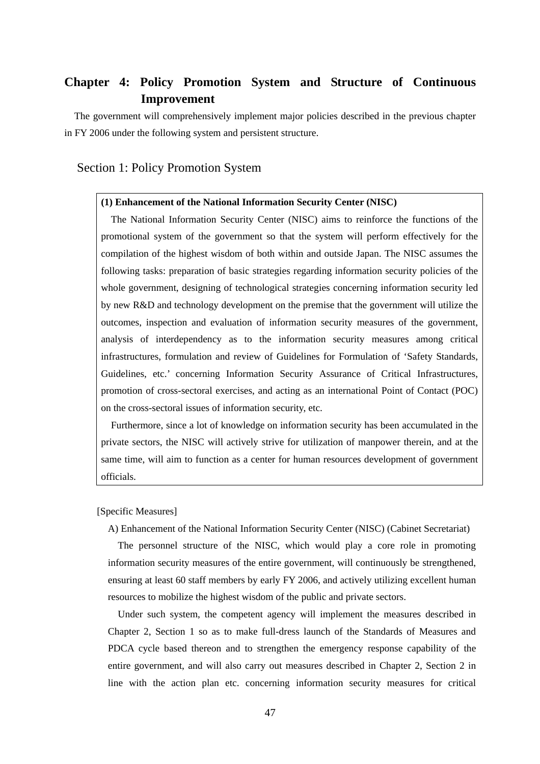# <span id="page-48-0"></span>**Chapter 4: Policy Promotion System and Structure of Continuous Improvement**

The government will comprehensively implement major policies described in the previous chapter in FY 2006 under the following system and persistent structure.

# Section 1: Policy Promotion System

### **(1) Enhancement of the National Information Security Center (NISC)**

The National Information Security Center (NISC) aims to reinforce the functions of the promotional system of the government so that the system will perform effectively for the compilation of the highest wisdom of both within and outside Japan. The NISC assumes the following tasks: preparation of basic strategies regarding information security policies of the whole government, designing of technological strategies concerning information security led by new R&D and technology development on the premise that the government will utilize the outcomes, inspection and evaluation of information security measures of the government, analysis of interdependency as to the information security measures among critical infrastructures, formulation and review of Guidelines for Formulation of 'Safety Standards, Guidelines, etc.' concerning Information Security Assurance of Critical Infrastructures, promotion of cross-sectoral exercises, and acting as an international Point of Contact (POC) on the cross-sectoral issues of information security, etc.

Furthermore, since a lot of knowledge on information security has been accumulated in the private sectors, the NISC will actively strive for utilization of manpower therein, and at the same time, will aim to function as a center for human resources development of government officials.

[Specific Measures]

A) Enhancement of the National Information Security Center (NISC) (Cabinet Secretariat)

The personnel structure of the NISC, which would play a core role in promoting information security measures of the entire government, will continuously be strengthened, ensuring at least 60 staff members by early FY 2006, and actively utilizing excellent human resources to mobilize the highest wisdom of the public and private sectors.

Under such system, the competent agency will implement the measures described in Chapter 2, Section 1 so as to make full-dress launch of the Standards of Measures and PDCA cycle based thereon and to strengthen the emergency response capability of the entire government, and will also carry out measures described in Chapter 2, Section 2 in line with the action plan etc. concerning information security measures for critical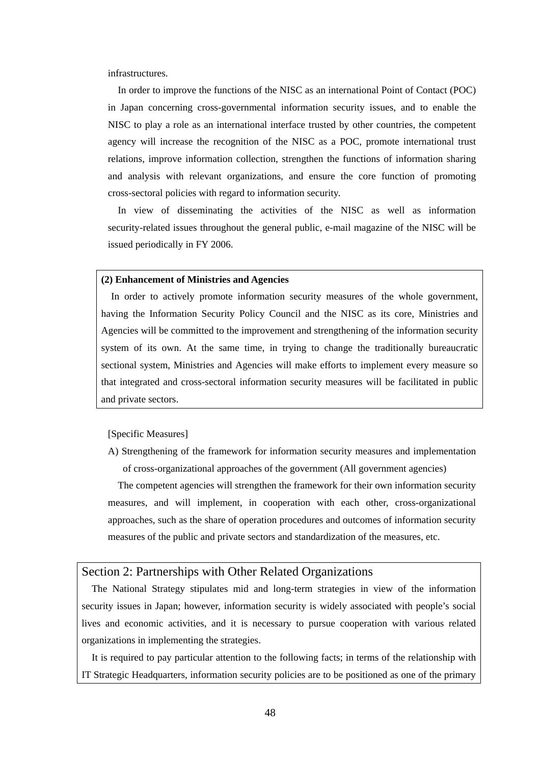infrastructures.

In order to improve the functions of the NISC as an international Point of Contact (POC) in Japan concerning cross-governmental information security issues, and to enable the NISC to play a role as an international interface trusted by other countries, the competent agency will increase the recognition of the NISC as a POC, promote international trust relations, improve information collection, strengthen the functions of information sharing and analysis with relevant organizations, and ensure the core function of promoting cross-sectoral policies with regard to information security.

In view of disseminating the activities of the NISC as well as information security-related issues throughout the general public, e-mail magazine of the NISC will be issued periodically in FY 2006.

### **(2) Enhancement of Ministries and Agencies**

In order to actively promote information security measures of the whole government, having the Information Security Policy Council and the NISC as its core, Ministries and Agencies will be committed to the improvement and strengthening of the information security system of its own. At the same time, in trying to change the traditionally bureaucratic sectional system, Ministries and Agencies will make efforts to implement every measure so that integrated and cross-sectoral information security measures will be facilitated in public and private sectors.

### [Specific Measures]

A) Strengthening of the framework for information security measures and implementation of cross-organizational approaches of the government (All government agencies)

The competent agencies will strengthen the framework for their own information security measures, and will implement, in cooperation with each other, cross-organizational approaches, such as the share of operation procedures and outcomes of information security measures of the public and private sectors and standardization of the measures, etc.

# Section 2: Partnerships with Other Related Organizations

The National Strategy stipulates mid and long-term strategies in view of the information security issues in Japan; however, information security is widely associated with people's social lives and economic activities, and it is necessary to pursue cooperation with various related organizations in implementing the strategies.

It is required to pay particular attention to the following facts; in terms of the relationship with IT Strategic Headquarters, information security policies are to be positioned as one of the primary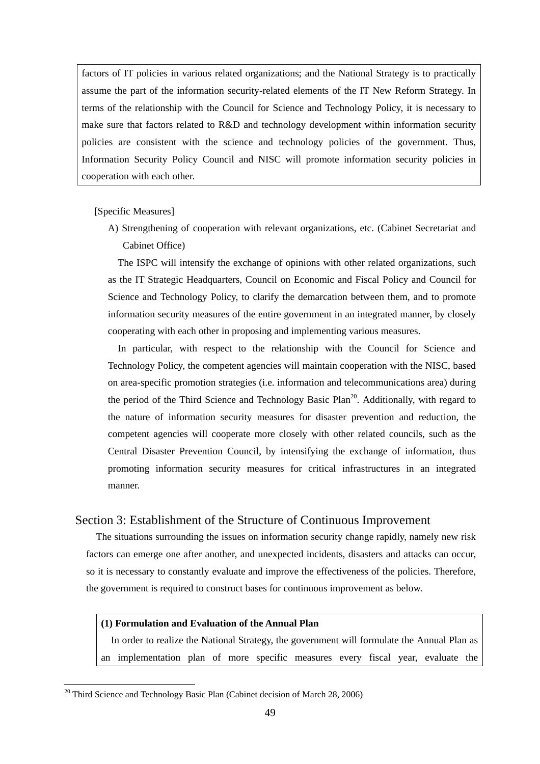factors of IT policies in various related organizations; and the National Strategy is to practically assume the part of the information security-related elements of the IT New Reform Strategy. In terms of the relationship with the Council for Science and Technology Policy, it is necessary to make sure that factors related to R&D and technology development within information security policies are consistent with the science and technology policies of the government. Thus, Information Security Policy Council and NISC will promote information security policies in cooperation with each other.

[Specific Measures]

A) Strengthening of cooperation with relevant organizations, etc. (Cabinet Secretariat and Cabinet Office)

The ISPC will intensify the exchange of opinions with other related organizations, such as the IT Strategic Headquarters, Council on Economic and Fiscal Policy and Council for Science and Technology Policy, to clarify the demarcation between them, and to promote information security measures of the entire government in an integrated manner, by closely cooperating with each other in proposing and implementing various measures.

In particular, with respect to the relationship with the Council for Science and Technology Policy, the competent agencies will maintain cooperation with the NISC, based on area-specific promotion strategies (i.e. information and telecommunications area) during the period of the Third Science and Technology Basic Plan<sup>20</sup>. Additionally, with regard to the nature of information security measures for disaster prevention and reduction, the competent agencies will cooperate more closely with other related councils, such as the Central Disaster Prevention Council, by intensifying the exchange of information, thus promoting information security measures for critical infrastructures in an integrated manner.

# Section 3: Establishment of the Structure of Continuous Improvement

The situations surrounding the issues on information security change rapidly, namely new risk factors can emerge one after another, and unexpected incidents, disasters and attacks can occur, so it is necessary to constantly evaluate and improve the effectiveness of the policies. Therefore, the government is required to construct bases for continuous improvement as below.

# **(1) Formulation and Evaluation of the Annual Plan**

In order to realize the National Strategy, the government will formulate the Annual Plan as an implementation plan of more specific measures every fiscal year, evaluate the

<span id="page-50-0"></span><sup>&</sup>lt;sup>20</sup> Third Science and Technology Basic Plan (Cabinet decision of March 28, 2006)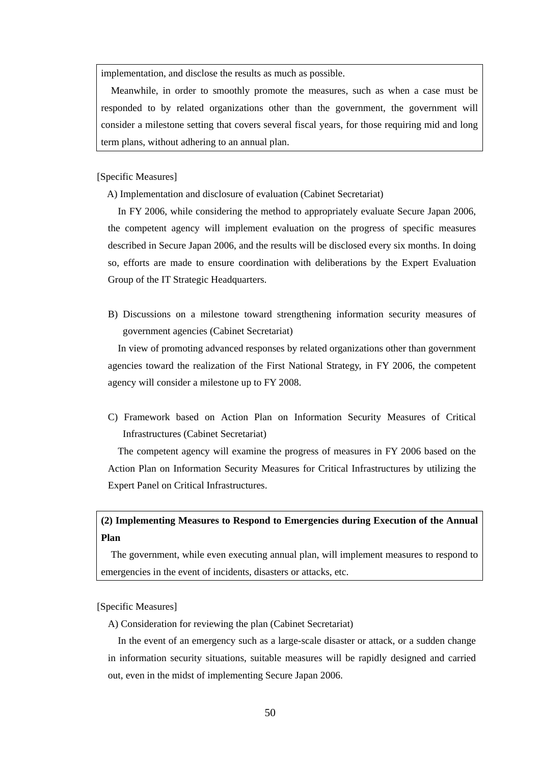implementation, and disclose the results as much as possible.

Meanwhile, in order to smoothly promote the measures, such as when a case must be responded to by related organizations other than the government, the government will consider a milestone setting that covers several fiscal years, for those requiring mid and long term plans, without adhering to an annual plan.

[Specific Measures]

A) Implementation and disclosure of evaluation (Cabinet Secretariat)

In FY 2006, while considering the method to appropriately evaluate Secure Japan 2006, the competent agency will implement evaluation on the progress of specific measures described in Secure Japan 2006, and the results will be disclosed every six months. In doing so, efforts are made to ensure coordination with deliberations by the Expert Evaluation Group of the IT Strategic Headquarters.

B) Discussions on a milestone toward strengthening information security measures of government agencies (Cabinet Secretariat)

In view of promoting advanced responses by related organizations other than government agencies toward the realization of the First National Strategy, in FY 2006, the competent agency will consider a milestone up to FY 2008.

C) Framework based on Action Plan on Information Security Measures of Critical Infrastructures (Cabinet Secretariat)

The competent agency will examine the progress of measures in FY 2006 based on the Action Plan on Information Security Measures for Critical Infrastructures by utilizing the Expert Panel on Critical Infrastructures.

# **(2) Implementing Measures to Respond to Emergencies during Execution of the Annual Plan**

The government, while even executing annual plan, will implement measures to respond to emergencies in the event of incidents, disasters or attacks, etc.

[Specific Measures]

A) Consideration for reviewing the plan (Cabinet Secretariat)

In the event of an emergency such as a large-scale disaster or attack, or a sudden change in information security situations, suitable measures will be rapidly designed and carried out, even in the midst of implementing Secure Japan 2006.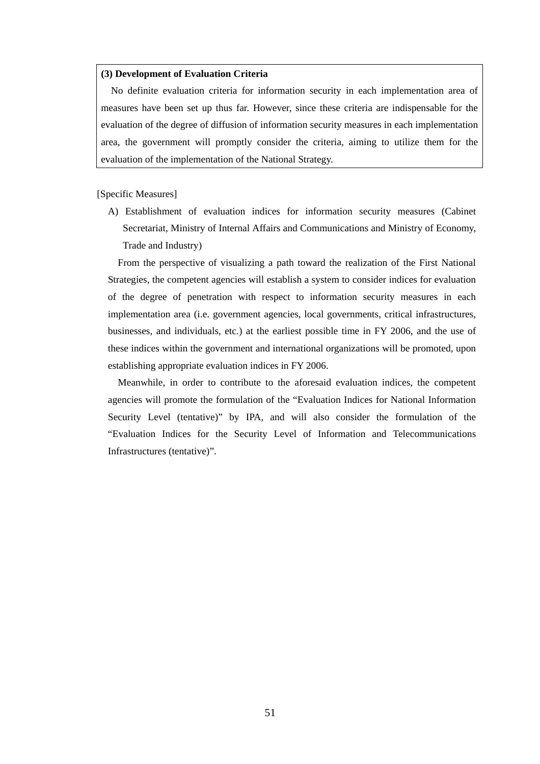### **(3) Development of Evaluation Criteria**

No definite evaluation criteria for information security in each implementation area of measures have been set up thus far. However, since these criteria are indispensable for the evaluation of the degree of diffusion of information security measures in each implementation area, the government will promptly consider the criteria, aiming to utilize them for the evaluation of the implementation of the National Strategy.

### [Specific Measures]

A) Establishment of evaluation indices for information security measures (Cabinet Secretariat, Ministry of Internal Affairs and Communications and Ministry of Economy, Trade and Industry)

From the perspective of visualizing a path toward the realization of the First National Strategies, the competent agencies will establish a system to consider indices for evaluation of the degree of penetration with respect to information security measures in each implementation area (i.e. government agencies, local governments, critical infrastructures, businesses, and individuals, etc.) at the earliest possible time in FY 2006, and the use of these indices within the government and international organizations will be promoted, upon establishing appropriate evaluation indices in FY 2006.

Meanwhile, in order to contribute to the aforesaid evaluation indices, the competent agencies will promote the formulation of the "Evaluation Indices for National Information Security Level (tentative)" by IPA, and will also consider the formulation of the "Evaluation Indices for the Security Level of Information and Telecommunications Infrastructures (tentative)".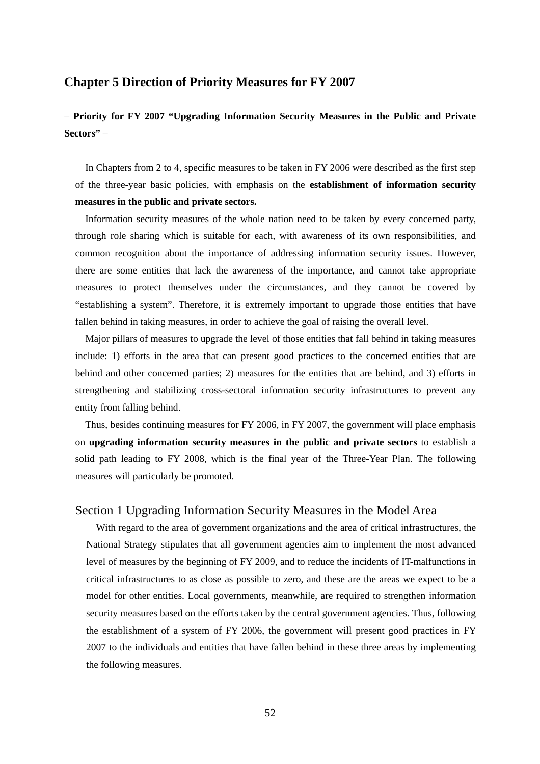# <span id="page-53-0"></span>**Chapter 5 Direction of Priority Measures for FY 2007**

# – **Priority for FY 2007 "Upgrading Information Security Measures in the Public and Private Sectors"** –

In Chapters from 2 to 4, specific measures to be taken in FY 2006 were described as the first step of the three-year basic policies, with emphasis on the **establishment of information security measures in the public and private sectors.** 

Information security measures of the whole nation need to be taken by every concerned party, through role sharing which is suitable for each, with awareness of its own responsibilities, and common recognition about the importance of addressing information security issues. However, there are some entities that lack the awareness of the importance, and cannot take appropriate measures to protect themselves under the circumstances, and they cannot be covered by "establishing a system". Therefore, it is extremely important to upgrade those entities that have fallen behind in taking measures, in order to achieve the goal of raising the overall level.

Major pillars of measures to upgrade the level of those entities that fall behind in taking measures include: 1) efforts in the area that can present good practices to the concerned entities that are behind and other concerned parties; 2) measures for the entities that are behind, and 3) efforts in strengthening and stabilizing cross-sectoral information security infrastructures to prevent any entity from falling behind.

Thus, besides continuing measures for FY 2006, in FY 2007, the government will place emphasis on **upgrading information security measures in the public and private sectors** to establish a solid path leading to FY 2008, which is the final year of the Three-Year Plan. The following measures will particularly be promoted.

# Section 1 Upgrading Information Security Measures in the Model Area

With regard to the area of government organizations and the area of critical infrastructures, the National Strategy stipulates that all government agencies aim to implement the most advanced level of measures by the beginning of FY 2009, and to reduce the incidents of IT-malfunctions in critical infrastructures to as close as possible to zero, and these are the areas we expect to be a model for other entities. Local governments, meanwhile, are required to strengthen information security measures based on the efforts taken by the central government agencies. Thus, following the establishment of a system of FY 2006, the government will present good practices in FY 2007 to the individuals and entities that have fallen behind in these three areas by implementing the following measures.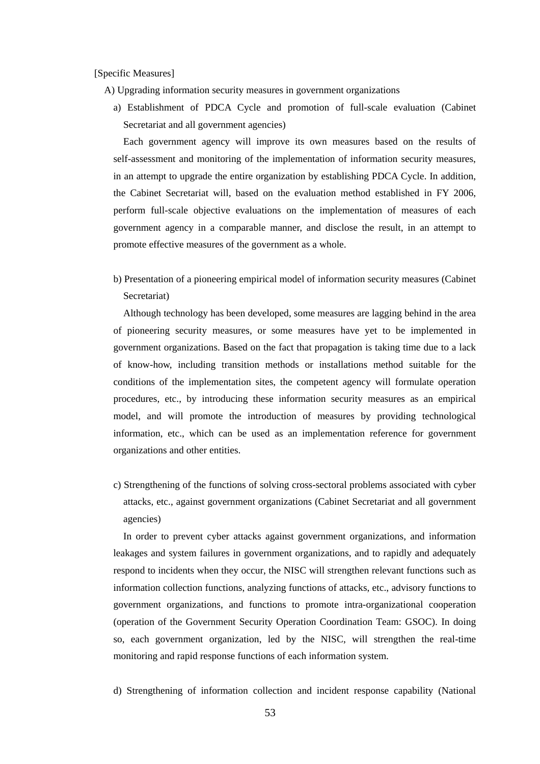#### [Specific Measures]

- A) Upgrading information security measures in government organizations
	- a) Establishment of PDCA Cycle and promotion of full-scale evaluation (Cabinet Secretariat and all government agencies)

Each government agency will improve its own measures based on the results of self-assessment and monitoring of the implementation of information security measures, in an attempt to upgrade the entire organization by establishing PDCA Cycle. In addition, the Cabinet Secretariat will, based on the evaluation method established in FY 2006, perform full-scale objective evaluations on the implementation of measures of each government agency in a comparable manner, and disclose the result, in an attempt to promote effective measures of the government as a whole.

b) Presentation of a pioneering empirical model of information security measures (Cabinet Secretariat)

Although technology has been developed, some measures are lagging behind in the area of pioneering security measures, or some measures have yet to be implemented in government organizations. Based on the fact that propagation is taking time due to a lack of know-how, including transition methods or installations method suitable for the conditions of the implementation sites, the competent agency will formulate operation procedures, etc., by introducing these information security measures as an empirical model, and will promote the introduction of measures by providing technological information, etc., which can be used as an implementation reference for government organizations and other entities.

c) Strengthening of the functions of solving cross-sectoral problems associated with cyber attacks, etc., against government organizations (Cabinet Secretariat and all government agencies)

In order to prevent cyber attacks against government organizations, and information leakages and system failures in government organizations, and to rapidly and adequately respond to incidents when they occur, the NISC will strengthen relevant functions such as information collection functions, analyzing functions of attacks, etc., advisory functions to government organizations, and functions to promote intra-organizational cooperation (operation of the Government Security Operation Coordination Team: GSOC). In doing so, each government organization, led by the NISC, will strengthen the real-time monitoring and rapid response functions of each information system.

d) Strengthening of information collection and incident response capability (National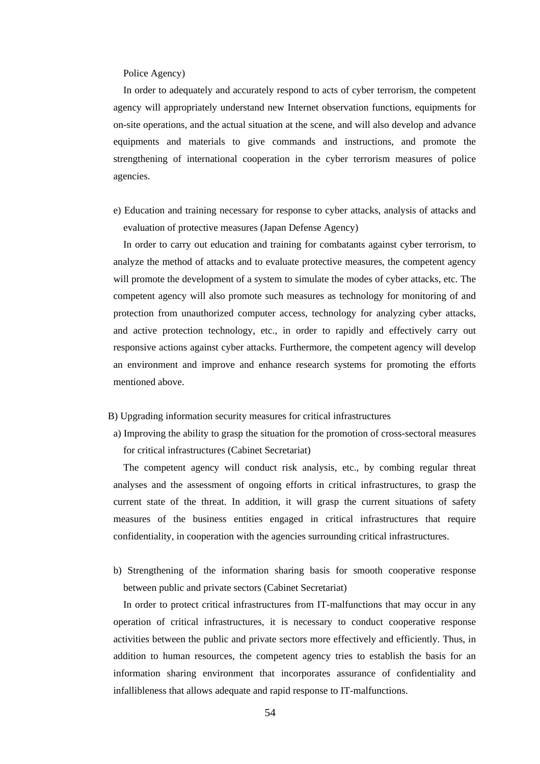#### Police Agency)

In order to adequately and accurately respond to acts of cyber terrorism, the competent agency will appropriately understand new Internet observation functions, equipments for on-site operations, and the actual situation at the scene, and will also develop and advance equipments and materials to give commands and instructions, and promote the strengthening of international cooperation in the cyber terrorism measures of police agencies.

e) Education and training necessary for response to cyber attacks, analysis of attacks and evaluation of protective measures (Japan Defense Agency)

In order to carry out education and training for combatants against cyber terrorism, to analyze the method of attacks and to evaluate protective measures, the competent agency will promote the development of a system to simulate the modes of cyber attacks, etc. The competent agency will also promote such measures as technology for monitoring of and protection from unauthorized computer access, technology for analyzing cyber attacks, and active protection technology, etc., in order to rapidly and effectively carry out responsive actions against cyber attacks. Furthermore, the competent agency will develop an environment and improve and enhance research systems for promoting the efforts mentioned above.

- B) Upgrading information security measures for critical infrastructures
- a) Improving the ability to grasp the situation for the promotion of cross-sectoral measures for critical infrastructures (Cabinet Secretariat)

The competent agency will conduct risk analysis, etc., by combing regular threat analyses and the assessment of ongoing efforts in critical infrastructures, to grasp the current state of the threat. In addition, it will grasp the current situations of safety measures of the business entities engaged in critical infrastructures that require confidentiality, in cooperation with the agencies surrounding critical infrastructures.

b) Strengthening of the information sharing basis for smooth cooperative response between public and private sectors (Cabinet Secretariat)

In order to protect critical infrastructures from IT-malfunctions that may occur in any operation of critical infrastructures, it is necessary to conduct cooperative response activities between the public and private sectors more effectively and efficiently. Thus, in addition to human resources, the competent agency tries to establish the basis for an information sharing environment that incorporates assurance of confidentiality and infallibleness that allows adequate and rapid response to IT-malfunctions.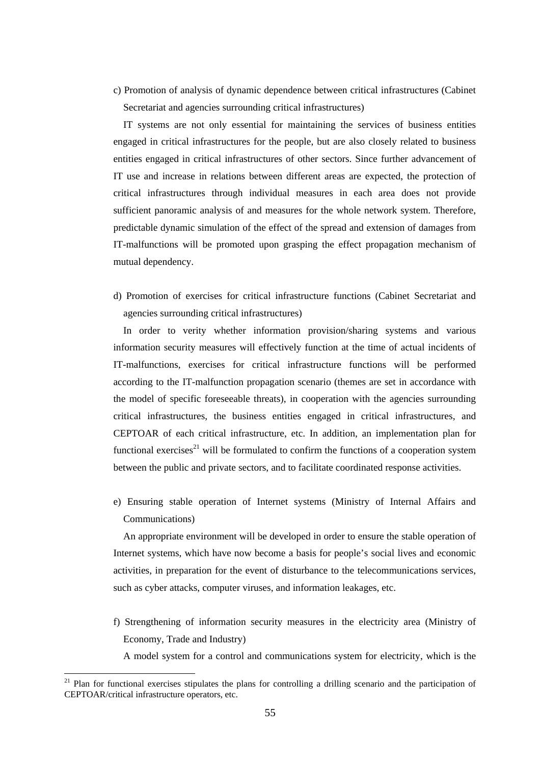c) Promotion of analysis of dynamic dependence between critical infrastructures (Cabinet Secretariat and agencies surrounding critical infrastructures)

IT systems are not only essential for maintaining the services of business entities engaged in critical infrastructures for the people, but are also closely related to business entities engaged in critical infrastructures of other sectors. Since further advancement of IT use and increase in relations between different areas are expected, the protection of critical infrastructures through individual measures in each area does not provide sufficient panoramic analysis of and measures for the whole network system. Therefore, predictable dynamic simulation of the effect of the spread and extension of damages from IT-malfunctions will be promoted upon grasping the effect propagation mechanism of mutual dependency.

d) Promotion of exercises for critical infrastructure functions (Cabinet Secretariat and agencies surrounding critical infrastructures)

In order to verity whether information provision/sharing systems and various information security measures will effectively function at the time of actual incidents of IT-malfunctions, exercises for critical infrastructure functions will be performed according to the IT-malfunction propagation scenario (themes are set in accordance with the model of specific foreseeable threats), in cooperation with the agencies surrounding critical infrastructures, the business entities engaged in critical infrastructures, and CEPTOAR of each critical infrastructure, etc. In addition, an implementation plan for functional exercises<sup>21</sup> will be formulated to confirm the functions of a cooperation system between the public and private sectors, and to facilitate coordinated response activities.

e) Ensuring stable operation of Internet systems (Ministry of Internal Affairs and Communications)

An appropriate environment will be developed in order to ensure the stable operation of Internet systems, which have now become a basis for people's social lives and economic activities, in preparation for the event of disturbance to the telecommunications services, such as cyber attacks, computer viruses, and information leakages, etc.

f) Strengthening of information security measures in the electricity area (Ministry of Economy, Trade and Industry)

A model system for a control and communications system for electricity, which is the

<span id="page-56-0"></span><sup>&</sup>lt;sup>21</sup> Plan for functional exercises stipulates the plans for controlling a drilling scenario and the participation of CEPTOAR/critical infrastructure operators, etc.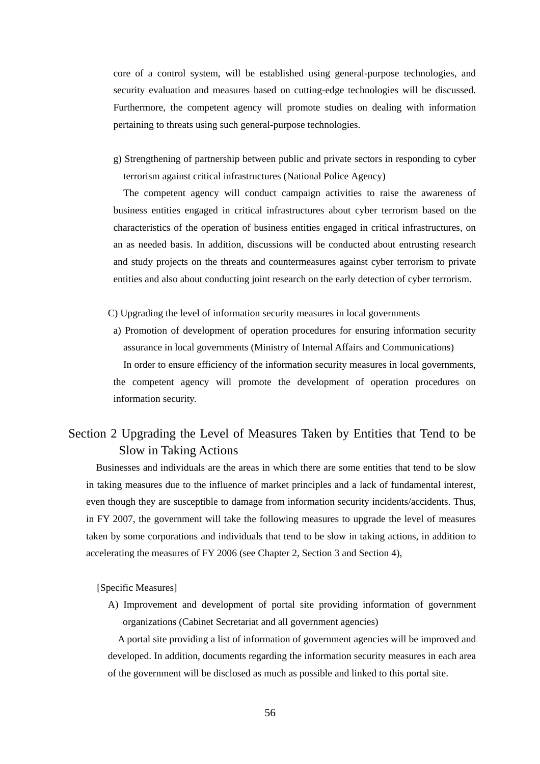core of a control system, will be established using general-purpose technologies, and security evaluation and measures based on cutting-edge technologies will be discussed. Furthermore, the competent agency will promote studies on dealing with information pertaining to threats using such general-purpose technologies.

g) Strengthening of partnership between public and private sectors in responding to cyber terrorism against critical infrastructures (National Police Agency)

The competent agency will conduct campaign activities to raise the awareness of business entities engaged in critical infrastructures about cyber terrorism based on the characteristics of the operation of business entities engaged in critical infrastructures, on an as needed basis. In addition, discussions will be conducted about entrusting research and study projects on the threats and countermeasures against cyber terrorism to private entities and also about conducting joint research on the early detection of cyber terrorism.

- C) Upgrading the level of information security measures in local governments
- a) Promotion of development of operation procedures for ensuring information security assurance in local governments (Ministry of Internal Affairs and Communications) In order to ensure efficiency of the information security measures in local governments, the competent agency will promote the development of operation procedures on information security.

# Section 2 Upgrading the Level of Measures Taken by Entities that Tend to be Slow in Taking Actions

Businesses and individuals are the areas in which there are some entities that tend to be slow in taking measures due to the influence of market principles and a lack of fundamental interest, even though they are susceptible to damage from information security incidents/accidents. Thus, in FY 2007, the government will take the following measures to upgrade the level of measures taken by some corporations and individuals that tend to be slow in taking actions, in addition to accelerating the measures of FY 2006 (see Chapter 2, Section 3 and Section 4),

[Specific Measures]

A) Improvement and development of portal site providing information of government organizations (Cabinet Secretariat and all government agencies)

A portal site providing a list of information of government agencies will be improved and developed. In addition, documents regarding the information security measures in each area of the government will be disclosed as much as possible and linked to this portal site.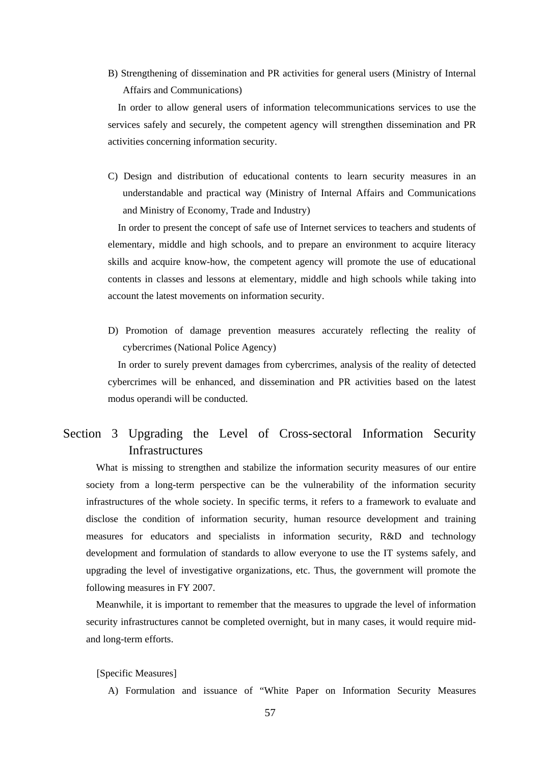B) Strengthening of dissemination and PR activities for general users (Ministry of Internal Affairs and Communications)

In order to allow general users of information telecommunications services to use the services safely and securely, the competent agency will strengthen dissemination and PR activities concerning information security.

C) Design and distribution of educational contents to learn security measures in an understandable and practical way (Ministry of Internal Affairs and Communications and Ministry of Economy, Trade and Industry)

In order to present the concept of safe use of Internet services to teachers and students of elementary, middle and high schools, and to prepare an environment to acquire literacy skills and acquire know-how, the competent agency will promote the use of educational contents in classes and lessons at elementary, middle and high schools while taking into account the latest movements on information security.

D) Promotion of damage prevention measures accurately reflecting the reality of cybercrimes (National Police Agency)

In order to surely prevent damages from cybercrimes, analysis of the reality of detected cybercrimes will be enhanced, and dissemination and PR activities based on the latest modus operandi will be conducted.

# Section 3 Upgrading the Level of Cross-sectoral Information Security Infrastructures

What is missing to strengthen and stabilize the information security measures of our entire society from a long-term perspective can be the vulnerability of the information security infrastructures of the whole society. In specific terms, it refers to a framework to evaluate and disclose the condition of information security, human resource development and training measures for educators and specialists in information security, R&D and technology development and formulation of standards to allow everyone to use the IT systems safely, and upgrading the level of investigative organizations, etc. Thus, the government will promote the following measures in FY 2007.

Meanwhile, it is important to remember that the measures to upgrade the level of information security infrastructures cannot be completed overnight, but in many cases, it would require midand long-term efforts.

[Specific Measures]

A) Formulation and issuance of "White Paper on Information Security Measures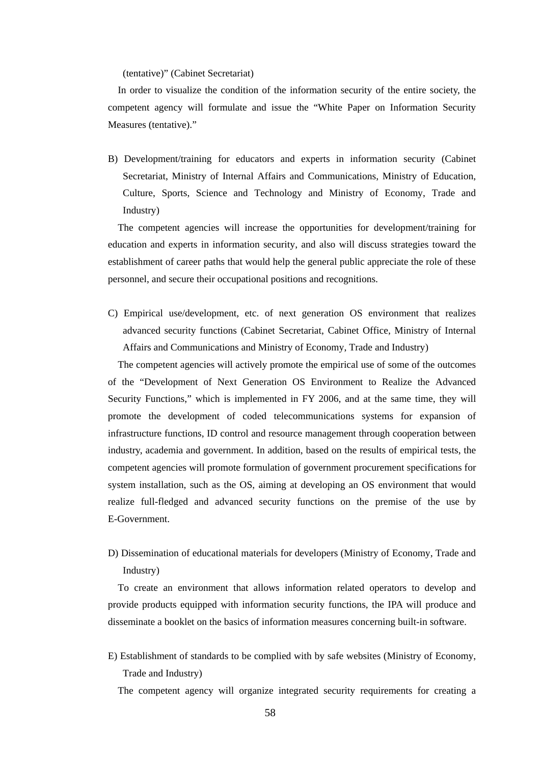(tentative)" (Cabinet Secretariat)

In order to visualize the condition of the information security of the entire society, the competent agency will formulate and issue the "White Paper on Information Security Measures (tentative)."

B) Development/training for educators and experts in information security (Cabinet Secretariat, Ministry of Internal Affairs and Communications, Ministry of Education, Culture, Sports, Science and Technology and Ministry of Economy, Trade and Industry)

The competent agencies will increase the opportunities for development/training for education and experts in information security, and also will discuss strategies toward the establishment of career paths that would help the general public appreciate the role of these personnel, and secure their occupational positions and recognitions.

C) Empirical use/development, etc. of next generation OS environment that realizes advanced security functions (Cabinet Secretariat, Cabinet Office, Ministry of Internal Affairs and Communications and Ministry of Economy, Trade and Industry)

The competent agencies will actively promote the empirical use of some of the outcomes of the "Development of Next Generation OS Environment to Realize the Advanced Security Functions," which is implemented in FY 2006, and at the same time, they will promote the development of coded telecommunications systems for expansion of infrastructure functions, ID control and resource management through cooperation between industry, academia and government. In addition, based on the results of empirical tests, the competent agencies will promote formulation of government procurement specifications for system installation, such as the OS, aiming at developing an OS environment that would realize full-fledged and advanced security functions on the premise of the use by E-Government.

D) Dissemination of educational materials for developers (Ministry of Economy, Trade and Industry)

To create an environment that allows information related operators to develop and provide products equipped with information security functions, the IPA will produce and disseminate a booklet on the basics of information measures concerning built-in software.

E) Establishment of standards to be complied with by safe websites (Ministry of Economy, Trade and Industry)

The competent agency will organize integrated security requirements for creating a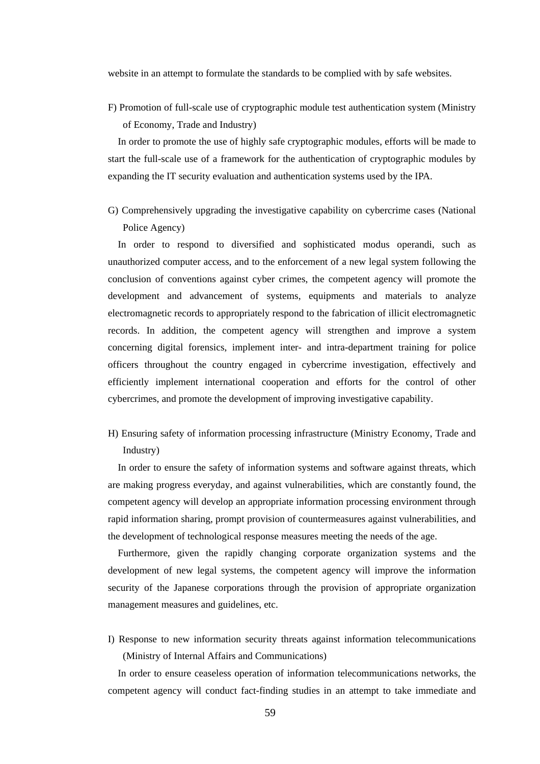website in an attempt to formulate the standards to be complied with by safe websites.

F) Promotion of full-scale use of cryptographic module test authentication system (Ministry of Economy, Trade and Industry)

In order to promote the use of highly safe cryptographic modules, efforts will be made to start the full-scale use of a framework for the authentication of cryptographic modules by expanding the IT security evaluation and authentication systems used by the IPA.

G) Comprehensively upgrading the investigative capability on cybercrime cases (National Police Agency)

In order to respond to diversified and sophisticated modus operandi, such as unauthorized computer access, and to the enforcement of a new legal system following the conclusion of conventions against cyber crimes, the competent agency will promote the development and advancement of systems, equipments and materials to analyze electromagnetic records to appropriately respond to the fabrication of illicit electromagnetic records. In addition, the competent agency will strengthen and improve a system concerning digital forensics, implement inter- and intra-department training for police officers throughout the country engaged in cybercrime investigation, effectively and efficiently implement international cooperation and efforts for the control of other cybercrimes, and promote the development of improving investigative capability.

H) Ensuring safety of information processing infrastructure (Ministry Economy, Trade and Industry)

In order to ensure the safety of information systems and software against threats, which are making progress everyday, and against vulnerabilities, which are constantly found, the competent agency will develop an appropriate information processing environment through rapid information sharing, prompt provision of countermeasures against vulnerabilities, and the development of technological response measures meeting the needs of the age.

Furthermore, given the rapidly changing corporate organization systems and the development of new legal systems, the competent agency will improve the information security of the Japanese corporations through the provision of appropriate organization management measures and guidelines, etc.

I) Response to new information security threats against information telecommunications (Ministry of Internal Affairs and Communications)

In order to ensure ceaseless operation of information telecommunications networks, the competent agency will conduct fact-finding studies in an attempt to take immediate and